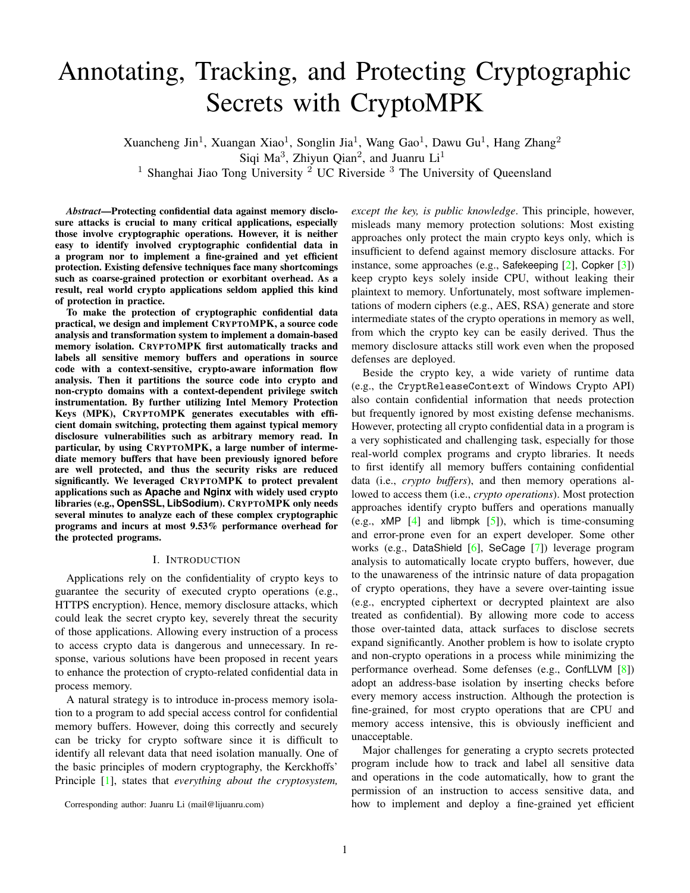# Annotating, Tracking, and Protecting Cryptographic Secrets with CryptoMPK

Xuancheng Jin<sup>1</sup>, Xuangan Xiao<sup>1</sup>, Songlin Jia<sup>1</sup>, Wang Gao<sup>1</sup>, Dawu Gu<sup>1</sup>, Hang Zhang<sup>2</sup> Siqi Ma<sup>3</sup>, Zhiyun Qian<sup>2</sup>, and Juanru Li<sup>1</sup> <sup>1</sup> Shanghai Jiao Tong University <sup>2</sup> UC Riverside <sup>3</sup> The University of Queensland

*Abstract*—Protecting confidential data against memory disclosure attacks is crucial to many critical applications, especially those involve cryptographic operations. However, it is neither easy to identify involved cryptographic confidential data in a program nor to implement a fine-grained and yet efficient protection. Existing defensive techniques face many shortcomings such as coarse-grained protection or exorbitant overhead. As a result, real world crypto applications seldom applied this kind of protection in practice.

To make the protection of cryptographic confidential data practical, we design and implement CRYPTOMPK, a source code analysis and transformation system to implement a domain-based memory isolation. CRYPTOMPK first automatically tracks and labels all sensitive memory buffers and operations in source code with a context-sensitive, crypto-aware information flow analysis. Then it partitions the source code into crypto and non-crypto domains with a context-dependent privilege switch instrumentation. By further utilizing Intel Memory Protection Keys (MPK), CRYPTOMPK generates executables with efficient domain switching, protecting them against typical memory disclosure vulnerabilities such as arbitrary memory read. In particular, by using CRYPTOMPK, a large number of intermediate memory buffers that have been previously ignored before are well protected, and thus the security risks are reduced significantly. We leveraged CRYPTOMPK to protect prevalent applications such as **Apache** and **Nginx** with widely used crypto libraries (e.g., **OpenSSL**, **LibSodium**). CRYPTOMPK only needs several minutes to analyze each of these complex cryptographic programs and incurs at most 9.53% performance overhead for the protected programs.

## I. INTRODUCTION

Applications rely on the confidentiality of crypto keys to guarantee the security of executed crypto operations (e.g., HTTPS encryption). Hence, memory disclosure attacks, which could leak the secret crypto key, severely threat the security of those applications. Allowing every instruction of a process to access crypto data is dangerous and unnecessary. In response, various solutions have been proposed in recent years to enhance the protection of crypto-related confidential data in process memory.

A natural strategy is to introduce in-process memory isolation to a program to add special access control for confidential memory buffers. However, doing this correctly and securely can be tricky for crypto software since it is difficult to identify all relevant data that need isolation manually. One of the basic principles of modern cryptography, the Kerckhoffs' Principle [\[1\]](#page-13-0), states that *everything about the cryptosystem,* *except the key, is public knowledge*. This principle, however, misleads many memory protection solutions: Most existing approaches only protect the main crypto keys only, which is insufficient to defend against memory disclosure attacks. For instance, some approaches (e.g., Safekeeping [\[2\]](#page-13-1), Copker [\[3\]](#page-13-2)) keep crypto keys solely inside CPU, without leaking their plaintext to memory. Unfortunately, most software implementations of modern ciphers (e.g., AES, RSA) generate and store intermediate states of the crypto operations in memory as well, from which the crypto key can be easily derived. Thus the memory disclosure attacks still work even when the proposed defenses are deployed.

Beside the crypto key, a wide variety of runtime data (e.g., the CryptReleaseContext of Windows Crypto API) also contain confidential information that needs protection but frequently ignored by most existing defense mechanisms. However, protecting all crypto confidential data in a program is a very sophisticated and challenging task, especially for those real-world complex programs and crypto libraries. It needs to first identify all memory buffers containing confidential data (i.e., *crypto buffers*), and then memory operations allowed to access them (i.e., *crypto operations*). Most protection approaches identify crypto buffers and operations manually (e.g.,  $xMP$  [\[4\]](#page-13-3) and libmpk [\[5\]](#page-13-4)), which is time-consuming and error-prone even for an expert developer. Some other works (e.g., DataShield [\[6\]](#page-13-5), SeCage [\[7\]](#page-13-6)) leverage program analysis to automatically locate crypto buffers, however, due to the unawareness of the intrinsic nature of data propagation of crypto operations, they have a severe over-tainting issue (e.g., encrypted ciphertext or decrypted plaintext are also treated as confidential). By allowing more code to access those over-tainted data, attack surfaces to disclose secrets expand significantly. Another problem is how to isolate crypto and non-crypto operations in a process while minimizing the performance overhead. Some defenses (e.g., ConfLLVM [\[8\]](#page-13-7)) adopt an address-base isolation by inserting checks before every memory access instruction. Although the protection is fine-grained, for most crypto operations that are CPU and memory access intensive, this is obviously inefficient and unacceptable.

Major challenges for generating a crypto secrets protected program include how to track and label all sensitive data and operations in the code automatically, how to grant the permission of an instruction to access sensitive data, and how to implement and deploy a fine-grained yet efficient

Corresponding author: Juanru Li (mail@lijuanru.com)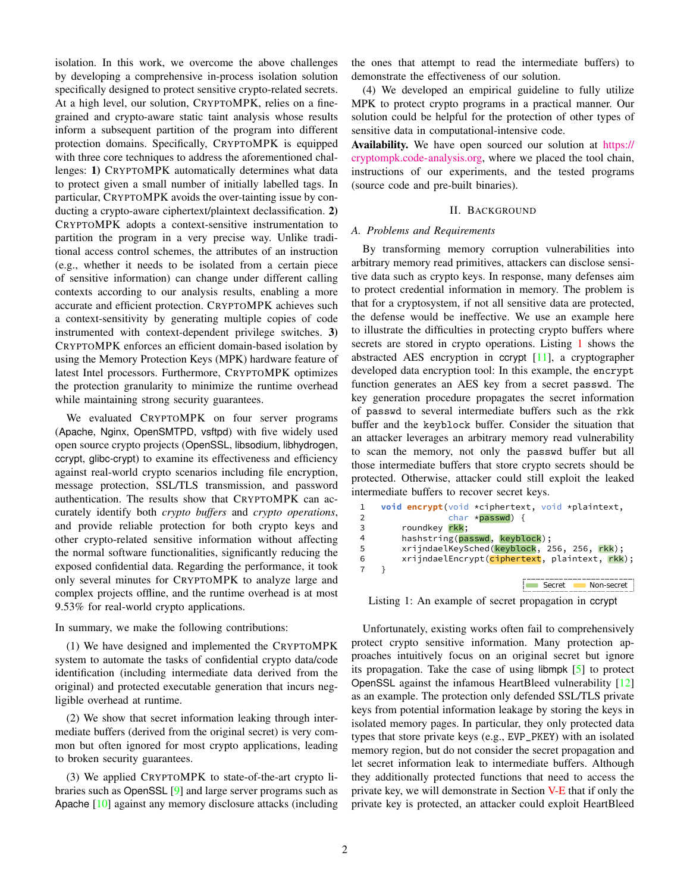isolation. In this work, we overcome the above challenges by developing a comprehensive in-process isolation solution specifically designed to protect sensitive crypto-related secrets. At a high level, our solution, CRYPTOMPK, relies on a finegrained and crypto-aware static taint analysis whose results inform a subsequent partition of the program into different protection domains. Specifically, CRYPTOMPK is equipped with three core techniques to address the aforementioned challenges: 1) CRYPTOMPK automatically determines what data to protect given a small number of initially labelled tags. In particular, CRYPTOMPK avoids the over-tainting issue by conducting a crypto-aware ciphertext/plaintext declassification. 2) CRYPTOMPK adopts a context-sensitive instrumentation to partition the program in a very precise way. Unlike traditional access control schemes, the attributes of an instruction (e.g., whether it needs to be isolated from a certain piece of sensitive information) can change under different calling contexts according to our analysis results, enabling a more accurate and efficient protection. CRYPTOMPK achieves such a context-sensitivity by generating multiple copies of code instrumented with context-dependent privilege switches. 3) CRYPTOMPK enforces an efficient domain-based isolation by using the Memory Protection Keys (MPK) hardware feature of latest Intel processors. Furthermore, CRYPTOMPK optimizes the protection granularity to minimize the runtime overhead while maintaining strong security guarantees.

We evaluated CRYPTOMPK on four server programs (Apache, Nginx, OpenSMTPD, vsftpd) with five widely used open source crypto projects (OpenSSL, libsodium, libhydrogen, ccrypt, glibc-crypt) to examine its effectiveness and efficiency against real-world crypto scenarios including file encryption, message protection, SSL/TLS transmission, and password authentication. The results show that CRYPTOMPK can accurately identify both *crypto buffers* and *crypto operations*, and provide reliable protection for both crypto keys and other crypto-related sensitive information without affecting the normal software functionalities, significantly reducing the exposed confidential data. Regarding the performance, it took only several minutes for CRYPTOMPK to analyze large and complex projects offline, and the runtime overhead is at most 9.53% for real-world crypto applications.

In summary, we make the following contributions:

(1) We have designed and implemented the CRYPTOMPK system to automate the tasks of confidential crypto data/code identification (including intermediate data derived from the original) and protected executable generation that incurs negligible overhead at runtime.

(2) We show that secret information leaking through intermediate buffers (derived from the original secret) is very common but often ignored for most crypto applications, leading to broken security guarantees.

(3) We applied CRYPTOMPK to state-of-the-art crypto libraries such as OpenSSL [\[9\]](#page-13-8) and large server programs such as Apache [\[10\]](#page-13-9) against any memory disclosure attacks (including the ones that attempt to read the intermediate buffers) to demonstrate the effectiveness of our solution.

(4) We developed an empirical guideline to fully utilize MPK to protect crypto programs in a practical manner. Our solution could be helpful for the protection of other types of sensitive data in computational-intensive code.

Availability. We have open sourced our solution at [https://](https://cryptompk.code-analysis.org) [cryptompk.code-analysis.org,](https://cryptompk.code-analysis.org) where we placed the tool chain, instructions of our experiments, and the tested programs (source code and pre-built binaries).

### II. BACKGROUND

## *A. Problems and Requirements*

By transforming memory corruption vulnerabilities into arbitrary memory read primitives, attackers can disclose sensitive data such as crypto keys. In response, many defenses aim to protect credential information in memory. The problem is that for a cryptosystem, if not all sensitive data are protected, the defense would be ineffective. We use an example here to illustrate the difficulties in protecting crypto buffers where secrets are stored in crypto operations. Listing [1](#page-1-0) shows the abstracted AES encryption in ccrypt [\[11\]](#page-13-10), a cryptographer developed data encryption tool: In this example, the encrypt function generates an AES key from a secret passwd. The key generation procedure propagates the secret information of passwd to several intermediate buffers such as the rkk buffer and the keyblock buffer. Consider the situation that an attacker leverages an arbitrary memory read vulnerability to scan the memory, not only the passwd buffer but all those intermediate buffers that store crypto secrets should be protected. Otherwise, attacker could still exploit the leaked intermediate buffers to recover secret keys.

```
void encrypt(void *ciphertext, void *plaintext, 
                      char *passwd) {
          roundkey <mark>rkk</mark>;
           hashstring(passwd, keyblock);
          xrijndaelKeySched(<mark>keyblock</mark>, 256, 256, <mark>rkk</mark>);
          xrijndaelEncrypt(ciphertext, plaintext, rkk);
     }
1
2
3
4
5
6
7
                                       Secret Non-secret
```
Listing 1: An example of secret propagation in ccrypt

Unfortunately, existing works often fail to comprehensively protect crypto sensitive information. Many protection approaches intuitively focus on an original secret but ignore its propagation. Take the case of using libmpk [\[5\]](#page-13-4) to protect OpenSSL against the infamous HeartBleed vulnerability [\[12\]](#page-13-11) as an example. The protection only defended SSL/TLS private keys from potential information leakage by storing the keys in isolated memory pages. In particular, they only protected data types that store private keys (e.g., EVP\_PKEY) with an isolated memory region, but do not consider the secret propagation and let secret information leak to intermediate buffers. Although they additionally protected functions that need to access the private key, we will demonstrate in Section [V-E](#page-10-0) that if only the private key is protected, an attacker could exploit HeartBleed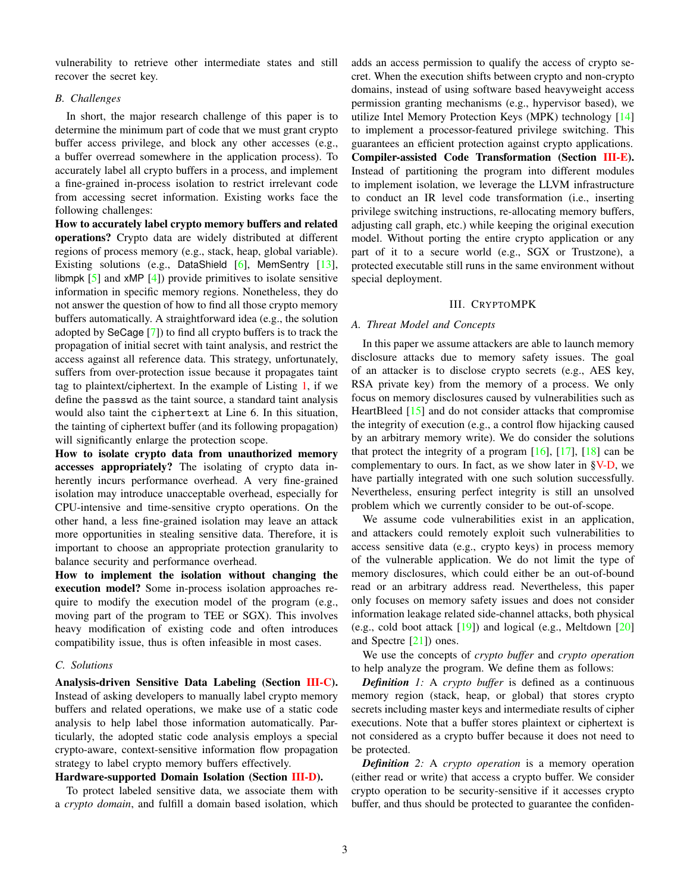vulnerability to retrieve other intermediate states and still recover the secret key.

## *B. Challenges*

In short, the major research challenge of this paper is to determine the minimum part of code that we must grant crypto buffer access privilege, and block any other accesses (e.g., a buffer overread somewhere in the application process). To accurately label all crypto buffers in a process, and implement a fine-grained in-process isolation to restrict irrelevant code from accessing secret information. Existing works face the following challenges:

How to accurately label crypto memory buffers and related operations? Crypto data are widely distributed at different regions of process memory (e.g., stack, heap, global variable). Existing solutions (e.g., DataShield [\[6\]](#page-13-5), MemSentry [\[13\]](#page-13-12), libmpk  $[5]$  and xMP  $[4]$ ) provide primitives to isolate sensitive information in specific memory regions. Nonetheless, they do not answer the question of how to find all those crypto memory buffers automatically. A straightforward idea (e.g., the solution adopted by SeCage [\[7\]](#page-13-6)) to find all crypto buffers is to track the propagation of initial secret with taint analysis, and restrict the access against all reference data. This strategy, unfortunately, suffers from over-protection issue because it propagates taint tag to plaintext/ciphertext. In the example of Listing [1,](#page-1-0) if we define the passwd as the taint source, a standard taint analysis would also taint the ciphertext at Line 6. In this situation, the tainting of ciphertext buffer (and its following propagation) will significantly enlarge the protection scope.

How to isolate crypto data from unauthorized memory accesses appropriately? The isolating of crypto data inherently incurs performance overhead. A very fine-grained isolation may introduce unacceptable overhead, especially for CPU-intensive and time-sensitive crypto operations. On the other hand, a less fine-grained isolation may leave an attack more opportunities in stealing sensitive data. Therefore, it is important to choose an appropriate protection granularity to balance security and performance overhead.

How to implement the isolation without changing the execution model? Some in-process isolation approaches require to modify the execution model of the program (e.g., moving part of the program to TEE or SGX). This involves heavy modification of existing code and often introduces compatibility issue, thus is often infeasible in most cases.

## *C. Solutions*

Analysis-driven Sensitive Data Labeling (Section [III-C\)](#page-3-0). Instead of asking developers to manually label crypto memory buffers and related operations, we make use of a static code analysis to help label those information automatically. Particularly, the adopted static code analysis employs a special crypto-aware, context-sensitive information flow propagation strategy to label crypto memory buffers effectively.

# Hardware-supported Domain Isolation (Section [III-D\)](#page-4-0).

To protect labeled sensitive data, we associate them with a *crypto domain*, and fulfill a domain based isolation, which adds an access permission to qualify the access of crypto secret. When the execution shifts between crypto and non-crypto domains, instead of using software based heavyweight access permission granting mechanisms (e.g., hypervisor based), we utilize Intel Memory Protection Keys (MPK) technology [\[14\]](#page-13-13) to implement a processor-featured privilege switching. This guarantees an efficient protection against crypto applications. Compiler-assisted Code Transformation (Section [III-E\)](#page-4-1). Instead of partitioning the program into different modules to implement isolation, we leverage the LLVM infrastructure to conduct an IR level code transformation (i.e., inserting privilege switching instructions, re-allocating memory buffers, adjusting call graph, etc.) while keeping the original execution model. Without porting the entire crypto application or any part of it to a secure world (e.g., SGX or Trustzone), a protected executable still runs in the same environment without special deployment.

#### III. CRYPTOMPK

# *A. Threat Model and Concepts*

In this paper we assume attackers are able to launch memory disclosure attacks due to memory safety issues. The goal of an attacker is to disclose crypto secrets (e.g., AES key, RSA private key) from the memory of a process. We only focus on memory disclosures caused by vulnerabilities such as HeartBleed [\[15\]](#page-13-14) and do not consider attacks that compromise the integrity of execution (e.g., a control flow hijacking caused by an arbitrary memory write). We do consider the solutions that protect the integrity of a program  $[16]$ ,  $[17]$ ,  $[18]$  can be complementary to ours. In fact, as we show later in  $\frac{\gamma V-D}{\gamma}$ , we have partially integrated with one such solution successfully. Nevertheless, ensuring perfect integrity is still an unsolved problem which we currently consider to be out-of-scope.

We assume code vulnerabilities exist in an application, and attackers could remotely exploit such vulnerabilities to access sensitive data (e.g., crypto keys) in process memory of the vulnerable application. We do not limit the type of memory disclosures, which could either be an out-of-bound read or an arbitrary address read. Nevertheless, this paper only focuses on memory safety issues and does not consider information leakage related side-channel attacks, both physical (e.g., cold boot attack [\[19\]](#page-13-18)) and logical (e.g., Meltdown [\[20\]](#page-13-19) and Spectre [\[21\]](#page-13-20)) ones.

We use the concepts of *crypto buffer* and *crypto operation* to help analyze the program. We define them as follows:

*Definition 1:* A *crypto buffer* is defined as a continuous memory region (stack, heap, or global) that stores crypto secrets including master keys and intermediate results of cipher executions. Note that a buffer stores plaintext or ciphertext is not considered as a crypto buffer because it does not need to be protected.

*Definition 2:* A *crypto operation* is a memory operation (either read or write) that access a crypto buffer. We consider crypto operation to be security-sensitive if it accesses crypto buffer, and thus should be protected to guarantee the confiden-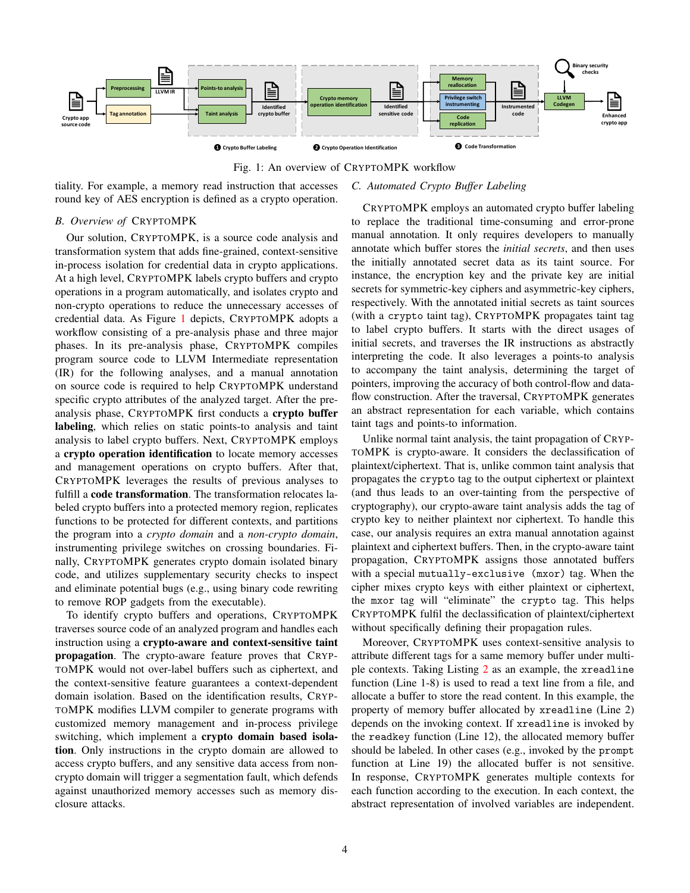<span id="page-3-1"></span>



tiality. For example, a memory read instruction that accesses round key of AES encryption is defined as a crypto operation.

# *B. Overview of* CRYPTOMPK

Our solution, CRYPTOMPK, is a source code analysis and transformation system that adds fine-grained, context-sensitive in-process isolation for credential data in crypto applications. At a high level, CRYPTOMPK labels crypto buffers and crypto operations in a program automatically, and isolates crypto and non-crypto operations to reduce the unnecessary accesses of credential data. As Figure [1](#page-3-1) depicts, CRYPTOMPK adopts a workflow consisting of a pre-analysis phase and three major phases. In its pre-analysis phase, CRYPTOMPK compiles program source code to LLVM Intermediate representation (IR) for the following analyses, and a manual annotation on source code is required to help CRYPTOMPK understand specific crypto attributes of the analyzed target. After the preanalysis phase, CRYPTOMPK first conducts a crypto buffer labeling, which relies on static points-to analysis and taint analysis to label crypto buffers. Next, CRYPTOMPK employs a crypto operation identification to locate memory accesses and management operations on crypto buffers. After that, CRYPTOMPK leverages the results of previous analyses to fulfill a code transformation. The transformation relocates labeled crypto buffers into a protected memory region, replicates functions to be protected for different contexts, and partitions the program into a *crypto domain* and a *non-crypto domain*, instrumenting privilege switches on crossing boundaries. Finally, CRYPTOMPK generates crypto domain isolated binary code, and utilizes supplementary security checks to inspect and eliminate potential bugs (e.g., using binary code rewriting to remove ROP gadgets from the executable).

To identify crypto buffers and operations, CRYPTOMPK traverses source code of an analyzed program and handles each instruction using a crypto-aware and context-sensitive taint propagation. The crypto-aware feature proves that CRYP-TOMPK would not over-label buffers such as ciphertext, and the context-sensitive feature guarantees a context-dependent domain isolation. Based on the identification results, CRYP-TOMPK modifies LLVM compiler to generate programs with customized memory management and in-process privilege switching, which implement a crypto domain based isolation. Only instructions in the crypto domain are allowed to access crypto buffers, and any sensitive data access from noncrypto domain will trigger a segmentation fault, which defends against unauthorized memory accesses such as memory disclosure attacks.

# <span id="page-3-0"></span>*C. Automated Crypto Buffer Labeling*

CRYPTOMPK employs an automated crypto buffer labeling to replace the traditional time-consuming and error-prone manual annotation. It only requires developers to manually annotate which buffer stores the *initial secrets*, and then uses the initially annotated secret data as its taint source. For instance, the encryption key and the private key are initial secrets for symmetric-key ciphers and asymmetric-key ciphers, respectively. With the annotated initial secrets as taint sources (with a crypto taint tag), CRYPTOMPK propagates taint tag to label crypto buffers. It starts with the direct usages of initial secrets, and traverses the IR instructions as abstractly interpreting the code. It also leverages a points-to analysis to accompany the taint analysis, determining the target of pointers, improving the accuracy of both control-flow and dataflow construction. After the traversal, CRYPTOMPK generates an abstract representation for each variable, which contains taint tags and points-to information.

Unlike normal taint analysis, the taint propagation of CRYP-TOMPK is crypto-aware. It considers the declassification of plaintext/ciphertext. That is, unlike common taint analysis that propagates the crypto tag to the output ciphertext or plaintext (and thus leads to an over-tainting from the perspective of cryptography), our crypto-aware taint analysis adds the tag of crypto key to neither plaintext nor ciphertext. To handle this case, our analysis requires an extra manual annotation against plaintext and ciphertext buffers. Then, in the crypto-aware taint propagation, CRYPTOMPK assigns those annotated buffers with a special mutually-exclusive (mxor) tag. When the cipher mixes crypto keys with either plaintext or ciphertext, the mxor tag will "eliminate" the crypto tag. This helps CRYPTOMPK fulfil the declassification of plaintext/ciphertext without specifically defining their propagation rules.

Moreover, CRYPTOMPK uses context-sensitive analysis to attribute different tags for a same memory buffer under multiple contexts. Taking Listing [2](#page-4-2) as an example, the xreadline function (Line 1-8) is used to read a text line from a file, and allocate a buffer to store the read content. In this example, the property of memory buffer allocated by xreadline (Line 2) depends on the invoking context. If xreadline is invoked by the readkey function (Line 12), the allocated memory buffer should be labeled. In other cases (e.g., invoked by the prompt function at Line 19) the allocated buffer is not sensitive. In response, CRYPTOMPK generates multiple contexts for each function according to the execution. In each context, the abstract representation of involved variables are independent.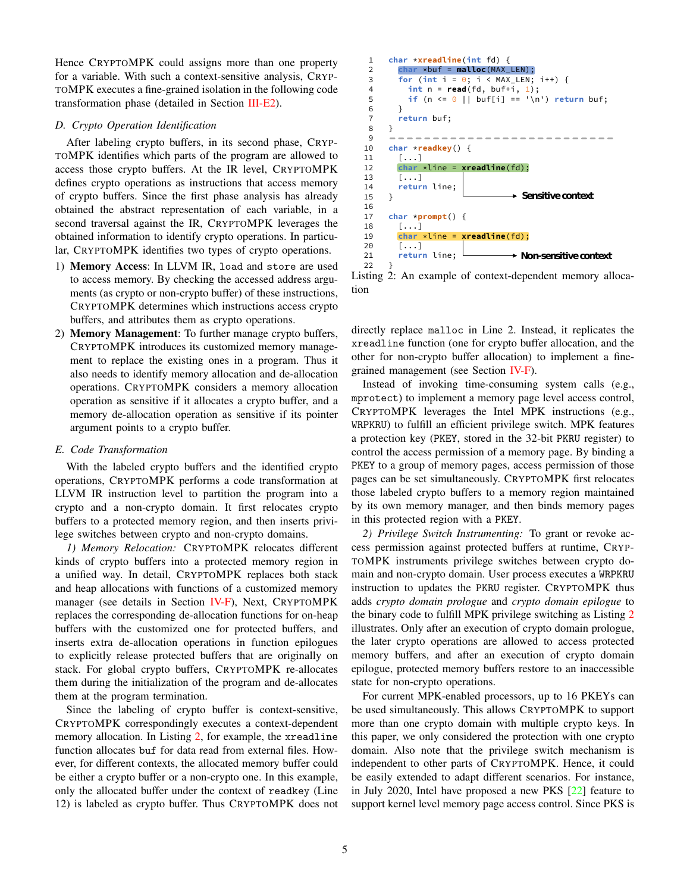Hence CRYPTOMPK could assigns more than one property for a variable. With such a context-sensitive analysis, CRYP-TOMPK executes a fine-grained isolation in the following code transformation phase (detailed in Section [III-E2\)](#page-4-3).

## <span id="page-4-0"></span>*D. Crypto Operation Identification*

After labeling crypto buffers, in its second phase, CRYP-TOMPK identifies which parts of the program are allowed to access those crypto buffers. At the IR level, CRYPTOMPK defines crypto operations as instructions that access memory of crypto buffers. Since the first phase analysis has already obtained the abstract representation of each variable, in a second traversal against the IR, CRYPTOMPK leverages the obtained information to identify crypto operations. In particular, CRYPTOMPK identifies two types of crypto operations.

- 1) Memory Access: In LLVM IR, load and store are used to access memory. By checking the accessed address arguments (as crypto or non-crypto buffer) of these instructions, CRYPTOMPK determines which instructions access crypto buffers, and attributes them as crypto operations.
- 2) Memory Management: To further manage crypto buffers, CRYPTOMPK introduces its customized memory management to replace the existing ones in a program. Thus it also needs to identify memory allocation and de-allocation operations. CRYPTOMPK considers a memory allocation operation as sensitive if it allocates a crypto buffer, and a memory de-allocation operation as sensitive if its pointer argument points to a crypto buffer.

#### <span id="page-4-1"></span>*E. Code Transformation*

With the labeled crypto buffers and the identified crypto operations, CRYPTOMPK performs a code transformation at LLVM IR instruction level to partition the program into a crypto and a non-crypto domain. It first relocates crypto buffers to a protected memory region, and then inserts privilege switches between crypto and non-crypto domains.

*1) Memory Relocation:* CRYPTOMPK relocates different kinds of crypto buffers into a protected memory region in a unified way. In detail, CRYPTOMPK replaces both stack and heap allocations with functions of a customized memory manager (see details in Section [IV-F\)](#page-7-0), Next, CRYPTOMPK replaces the corresponding de-allocation functions for on-heap buffers with the customized one for protected buffers, and inserts extra de-allocation operations in function epilogues to explicitly release protected buffers that are originally on stack. For global crypto buffers, CRYPTOMPK re-allocates them during the initialization of the program and de-allocates them at the program termination.

Since the labeling of crypto buffer is context-sensitive, CRYPTOMPK correspondingly executes a context-dependent memory allocation. In Listing [2,](#page-4-2) for example, the xreadline function allocates buf for data read from external files. However, for different contexts, the allocated memory buffer could be either a crypto buffer or a non-crypto one. In this example, only the allocated buffer under the context of readkey (Line 12) is labeled as crypto buffer. Thus CRYPTOMPK does not

<span id="page-4-2"></span>

Listing 2: An example of context-dependent memory allocation

directly replace malloc in Line 2. Instead, it replicates the xreadline function (one for crypto buffer allocation, and the other for non-crypto buffer allocation) to implement a finegrained management (see Section [IV-F\)](#page-7-0).

Instead of invoking time-consuming system calls (e.g., mprotect) to implement a memory page level access control, CRYPTOMPK leverages the Intel MPK instructions (e.g., WRPKRU) to fulfill an efficient privilege switch. MPK features a protection key (PKEY, stored in the 32-bit PKRU register) to control the access permission of a memory page. By binding a PKEY to a group of memory pages, access permission of those pages can be set simultaneously. CRYPTOMPK first relocates those labeled crypto buffers to a memory region maintained by its own memory manager, and then binds memory pages in this protected region with a PKEY.

<span id="page-4-3"></span>*2) Privilege Switch Instrumenting:* To grant or revoke access permission against protected buffers at runtime, CRYP-TOMPK instruments privilege switches between crypto domain and non-crypto domain. User process executes a WRPKRU instruction to updates the PKRU register. CRYPTOMPK thus adds *crypto domain prologue* and *crypto domain epilogue* to the binary code to fulfill MPK privilege switching as Listing [2](#page-5-0) illustrates. Only after an execution of crypto domain prologue, the later crypto operations are allowed to access protected memory buffers, and after an execution of crypto domain epilogue, protected memory buffers restore to an inaccessible state for non-crypto operations.

For current MPK-enabled processors, up to 16 PKEYs can be used simultaneously. This allows CRYPTOMPK to support more than one crypto domain with multiple crypto keys. In this paper, we only considered the protection with one crypto domain. Also note that the privilege switch mechanism is independent to other parts of CRYPTOMPK. Hence, it could be easily extended to adapt different scenarios. For instance, in July 2020, Intel have proposed a new PKS [\[22\]](#page-13-21) feature to support kernel level memory page access control. Since PKS is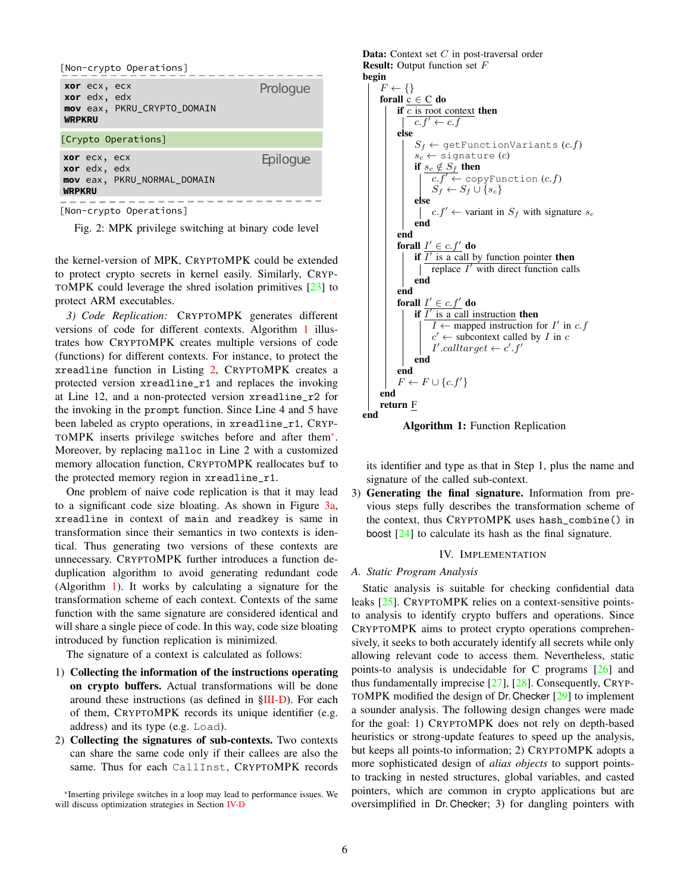<span id="page-5-0"></span>

| [Non-crypto Operations]                                                      |          |
|------------------------------------------------------------------------------|----------|
| xor ecx, ecx<br>xor edx, edx<br>mov eax, PKRU_CRYPTO_DOMAIN<br><b>WRPKRU</b> | Prologue |
| [Crypto Operations]                                                          |          |
| xor ecx, ecx<br>xor edx, edx<br>mov eax, PKRU NORMAL DOMAIN<br><b>WRPKRU</b> | Epiloque |
| [Non-crypto Operations]                                                      |          |

Fig. 2: MPK privilege switching at binary code level

the kernel-version of MPK, CRYPTOMPK could be extended to protect crypto secrets in kernel easily. Similarly, CRYP-TOMPK could leverage the shred isolation primitives [\[23\]](#page-13-22) to protect ARM executables.

<span id="page-5-3"></span>*3) Code Replication:* CRYPTOMPK generates different versions of code for different contexts. Algorithm [1](#page-5-1) illustrates how CRYPTOMPK creates multiple versions of code (functions) for different contexts. For instance, to protect the xreadline function in Listing [2,](#page-4-2) CRYPTOMPK creates a protected version xreadline\_r1 and replaces the invoking at Line 12, and a non-protected version xreadline\_r2 for the invoking in the prompt function. Since Line 4 and 5 have been labeled as crypto operations, in xreadline\_r1, CRYP-TOMPK inserts privilege switches before and after them[\\*](#page-5-2). Moreover, by replacing malloc in Line 2 with a customized memory allocation function, CRYPTOMPK reallocates buf to the protected memory region in xreadline\_r1.

One problem of naive code replication is that it may lead to a significant code size bloating. As shown in Figure [3a,](#page-6-0) xreadline in context of main and readkey is same in transformation since their semantics in two contexts is identical. Thus generating two versions of these contexts are unnecessary. CRYPTOMPK further introduces a function deduplication algorithm to avoid generating redundant code (Algorithm [1\)](#page-5-1). It works by calculating a signature for the transformation scheme of each context. Contexts of the same function with the same signature are considered identical and will share a single piece of code. In this way, code size bloating introduced by function replication is minimized.

The signature of a context is calculated as follows:

- 1) Collecting the information of the instructions operating on crypto buffers. Actual transformations will be done around these instructions (as defined in [§III-D\)](#page-4-0). For each of them, CRYPTOMPK records its unique identifier (e.g. address) and its type (e.g. Load).
- 2) Collecting the signatures of sub-contexts. Two contexts can share the same code only if their callees are also the same. Thus for each CallInst, CRYPTOMPK records

<span id="page-5-1"></span>Data: Context set C in post-traversal order Result: Output function set F begin  $F \leftarrow \{\}$ forall  $c \in C$  do if  $\frac{c}{c}$  is root context then  $c.f' \leftarrow c.f$ else  $S_f \leftarrow$  getFunctionVariants  $(c.f)$  $s_c \leftarrow$  signature  $(c)$ if  $s_c \notin S_f$  then  $c.f' \leftarrow \text{copyFunction}(c.f)$  $S_f \leftarrow S_f \cup \{s_c\}$ else  $c.f' \leftarrow$  variant in  $S_f$  with signature  $s_c$ end end forall  $I' \in c.f'$  do if  $\overline{I'$  is a call by function pointer then replace  $I'$  with direct function calls end end forall  $I' \in c.f'$  do if  $\overline{I'$  is a call instruction then  $I \leftarrow$  mapped instruction for  $I'$  in c.f  $c' \leftarrow$  subcontext called by *I* in *c*  $I'.calltarget \leftarrow c'.f'$ end end  $F \leftarrow F \cup \{c.f'\}$ end return F end Algorithm 1: Function Replication

its identifier and type as that in Step 1, plus the name and signature of the called sub-context.

3) Generating the final signature. Information from previous steps fully describes the transformation scheme of the context, thus CRYPTOMPK uses hash\_combine() in boost  $[24]$  to calculate its hash as the final signature.

## IV. IMPLEMENTATION

## *A. Static Program Analysis*

Static analysis is suitable for checking confidential data leaks [\[25\]](#page-13-24). CRYPTOMPK relies on a context-sensitive pointsto analysis to identify crypto buffers and operations. Since CRYPTOMPK aims to protect crypto operations comprehensively, it seeks to both accurately identify all secrets while only allowing relevant code to access them. Nevertheless, static points-to analysis is undecidable for C programs [\[26\]](#page-13-25) and thus fundamentally imprecise [\[27\]](#page-13-26), [\[28\]](#page-13-27). Consequently, CRYP-TOMPK modified the design of Dr. Checker [\[29\]](#page-13-28) to implement a sounder analysis. The following design changes were made for the goal: 1) CRYPTOMPK does not rely on depth-based heuristics or strong-update features to speed up the analysis, but keeps all points-to information; 2) CRYPTOMPK adopts a more sophisticated design of *alias objects* to support pointsto tracking in nested structures, global variables, and casted pointers, which are common in crypto applications but are oversimplified in Dr. Checker; 3) for dangling pointers with

<span id="page-5-2"></span><sup>\*</sup>Inserting privilege switches in a loop may lead to performance issues. We will discuss optimization strategies in Section [IV-D](#page-7-1)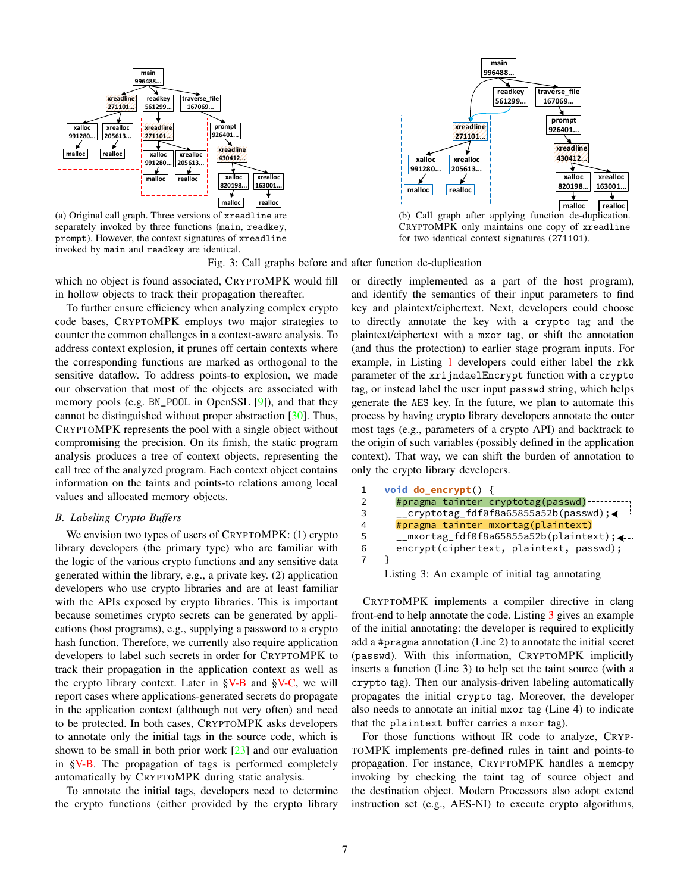<span id="page-6-0"></span>

(a) Original call graph. Three versions of xreadline are separately invoked by three functions (main, readkey, prompt). However, the context signatures of xreadline invoked by main and readkey are identical.



(b) Call graph after applying function de-duplication. CRYPTOMPK only maintains one copy of xreadline for two identical context signatures (271101).

Fig. 3: Call graphs before and after function de-duplication

which no object is found associated, CRYPTOMPK would fill in hollow objects to track their propagation thereafter.

To further ensure efficiency when analyzing complex crypto code bases, CRYPTOMPK employs two major strategies to counter the common challenges in a context-aware analysis. To address context explosion, it prunes off certain contexts where the corresponding functions are marked as orthogonal to the sensitive dataflow. To address points-to explosion, we made our observation that most of the objects are associated with memory pools (e.g. BN\_POOL in OpenSSL [\[9\]](#page-13-8)), and that they cannot be distinguished without proper abstraction [\[30\]](#page-13-29). Thus, CRYPTOMPK represents the pool with a single object without compromising the precision. On its finish, the static program analysis produces a tree of context objects, representing the call tree of the analyzed program. Each context object contains information on the taints and points-to relations among local values and allocated memory objects.

## <span id="page-6-2"></span>*B. Labeling Crypto Buffers*

We envision two types of users of CRYPTOMPK: (1) crypto library developers (the primary type) who are familiar with the logic of the various crypto functions and any sensitive data generated within the library, e.g., a private key. (2) application developers who use crypto libraries and are at least familiar with the APIs exposed by crypto libraries. This is important because sometimes crypto secrets can be generated by applications (host programs), e.g., supplying a password to a crypto hash function. Therefore, we currently also require application developers to label such secrets in order for CRYPTOMPK to track their propagation in the application context as well as the crypto library context. Later in  $\sqrt{V-B}$  and  $\sqrt{V-C}$ , we will report cases where applications-generated secrets do propagate in the application context (although not very often) and need to be protected. In both cases, CRYPTOMPK asks developers to annotate only the initial tags in the source code, which is shown to be small in both prior work  $\lceil 23 \rceil$  and our evaluation in [§V-B.](#page-8-0) The propagation of tags is performed completely automatically by CRYPTOMPK during static analysis.

To annotate the initial tags, developers need to determine the crypto functions (either provided by the crypto library or directly implemented as a part of the host program), and identify the semantics of their input parameters to find key and plaintext/ciphertext. Next, developers could choose to directly annotate the key with a crypto tag and the plaintext/ciphertext with a mxor tag, or shift the annotation (and thus the protection) to earlier stage program inputs. For example, in Listing [1](#page-1-0) developers could either label the rkk parameter of the xrijndaelEncrypt function with a crypto tag, or instead label the user input passwd string, which helps generate the AES key. In the future, we plan to automate this process by having crypto library developers annotate the outer most tags (e.g., parameters of a crypto API) and backtrack to the origin of such variables (possibly defined in the application context). That way, we can shift the burden of annotation to only the crypto library developers.

```
void do_encrypt() {
       #pragma tainter cryptotag(passwd)
       __cryptotag_fdf0f8a65855a52b(passwd);
       #pragma tainter mxortag(plaintext)
       __mxortag_fdf0f8a65855a52b(plaintext);
       encrypt(ciphertext, plaintext, passwd);
    }
1
2
3
4
5
6
7
    Listing 3: An example of initial tag annotating
```
CRYPTOMPK implements a compiler directive in clang front-end to help annotate the code. Listing [3](#page-6-1) gives an example of the initial annotating: the developer is required to explicitly add a #pragma annotation (Line 2) to annotate the initial secret (passwd). With this information, CRYPTOMPK implicitly inserts a function (Line 3) to help set the taint source (with a crypto tag). Then our analysis-driven labeling automatically propagates the initial crypto tag. Moreover, the developer also needs to annotate an initial mxor tag (Line 4) to indicate that the plaintext buffer carries a mxor tag).

For those functions without IR code to analyze, CRYP-TOMPK implements pre-defined rules in taint and points-to propagation. For instance, CRYPTOMPK handles a memcpy invoking by checking the taint tag of source object and the destination object. Modern Processors also adopt extend instruction set (e.g., AES-NI) to execute crypto algorithms,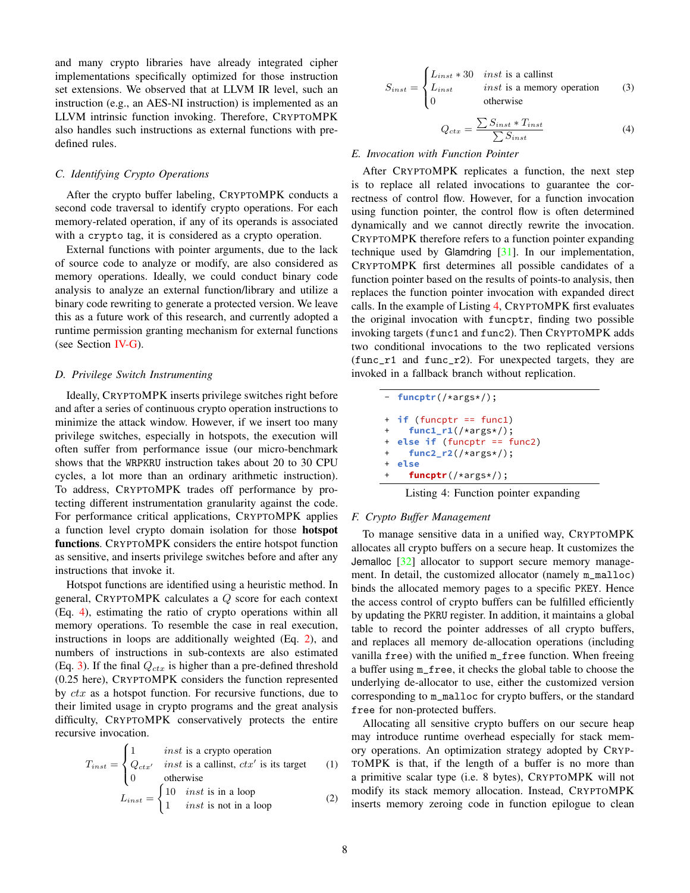and many crypto libraries have already integrated cipher implementations specifically optimized for those instruction set extensions. We observed that at LLVM IR level, such an instruction (e.g., an AES-NI instruction) is implemented as an LLVM intrinsic function invoking. Therefore, CRYPTOMPK also handles such instructions as external functions with predefined rules.

## *C. Identifying Crypto Operations*

After the crypto buffer labeling, CRYPTOMPK conducts a second code traversal to identify crypto operations. For each memory-related operation, if any of its operands is associated with a crypto tag, it is considered as a crypto operation.

External functions with pointer arguments, due to the lack of source code to analyze or modify, are also considered as memory operations. Ideally, we could conduct binary code analysis to analyze an external function/library and utilize a binary code rewriting to generate a protected version. We leave this as a future work of this research, and currently adopted a runtime permission granting mechanism for external functions (see Section [IV-G\)](#page-8-1).

#### <span id="page-7-1"></span>*D. Privilege Switch Instrumenting*

Ideally, CRYPTOMPK inserts privilege switches right before and after a series of continuous crypto operation instructions to minimize the attack window. However, if we insert too many privilege switches, especially in hotspots, the execution will often suffer from performance issue (our micro-benchmark shows that the WRPKRU instruction takes about 20 to 30 CPU cycles, a lot more than an ordinary arithmetic instruction). To address, CRYPTOMPK trades off performance by protecting different instrumentation granularity against the code. For performance critical applications, CRYPTOMPK applies a function level crypto domain isolation for those hotspot functions. CRYPTOMPK considers the entire hotspot function as sensitive, and inserts privilege switches before and after any instructions that invoke it.

Hotspot functions are identified using a heuristic method. In general, CRYPTOMPK calculates a Q score for each context (Eq. [4\)](#page-7-2), estimating the ratio of crypto operations within all memory operations. To resemble the case in real execution, instructions in loops are additionally weighted (Eq. [2\)](#page-7-3), and numbers of instructions in sub-contexts are also estimated (Eq. [3\)](#page-7-4). If the final  $Q_{ctx}$  is higher than a pre-defined threshold (0.25 here), CRYPTOMPK considers the function represented by  $ctx$  as a hotspot function. For recursive functions, due to their limited usage in crypto programs and the great analysis difficulty, CRYPTOMPK conservatively protects the entire recursive invocation.

<span id="page-7-3"></span>
$$
T_{inst} = \begin{cases} 1 & \text{inst is a crypto operation} \\ Q_{ctx} & \text{inst is a callinst, } \text{ctx}^{\prime} \text{ is its target} \\ 0 & \text{otherwise} \end{cases} \tag{1}
$$
\n
$$
L_{inst} = \begin{cases} 10 & \text{inst is in a loop} \\ 1 & \text{inst is not in a loop} \end{cases} \tag{2}
$$

<span id="page-7-4"></span>
$$
S_{inst} = \begin{cases} L_{inst} * 30 & inst is a callinst \\ L_{inst} & inst is a memory operation \\ 0 & otherwise \end{cases}
$$
 (3)

$$
Q_{ctx} = \frac{\sum S_{inst} * T_{inst}}{\sum S_{inst}} \tag{4}
$$

#### <span id="page-7-2"></span>*E. Invocation with Function Pointer*

After CRYPTOMPK replicates a function, the next step is to replace all related invocations to guarantee the correctness of control flow. However, for a function invocation using function pointer, the control flow is often determined dynamically and we cannot directly rewrite the invocation. CRYPTOMPK therefore refers to a function pointer expanding technique used by Glamdring [\[31\]](#page-13-30). In our implementation, CRYPTOMPK first determines all possible candidates of a function pointer based on the results of points-to analysis, then replaces the function pointer invocation with expanded direct calls. In the example of Listing [4,](#page-7-5) CRYPTOMPK first evaluates the original invocation with funcptr, finding two possible invoking targets (func1 and func2). Then CRYPTOMPK adds two conditional invocations to the two replicated versions (func\_r1 and func\_r2). For unexpected targets, they are invoked in a fallback branch without replication.

<span id="page-7-5"></span>

|           | $-$ funcptr(/*args*/);                      |
|-----------|---------------------------------------------|
|           | $+$ if (funcptr == func1)                   |
| $+$ $-$   | $func1_r1//*args*/);$                       |
|           | $+$ else if (funcptr == func2)              |
| +         | $func2_r2//*args*/);$                       |
| $\ddot{}$ | else                                        |
| +         | $funcptr(\nmid \star \text{args} \star /);$ |

Listing 4: Function pointer expanding

#### <span id="page-7-0"></span>*F. Crypto Buffer Management*

To manage sensitive data in a unified way, CRYPTOMPK allocates all crypto buffers on a secure heap. It customizes the Jemalloc [\[32\]](#page-13-31) allocator to support secure memory management. In detail, the customized allocator (namely m\_malloc) binds the allocated memory pages to a specific PKEY. Hence the access control of crypto buffers can be fulfilled efficiently by updating the PKRU register. In addition, it maintains a global table to record the pointer addresses of all crypto buffers, and replaces all memory de-allocation operations (including vanilla free) with the unified m\_free function. When freeing a buffer using m\_free, it checks the global table to choose the underlying de-allocator to use, either the customized version corresponding to m\_malloc for crypto buffers, or the standard free for non-protected buffers.

Allocating all sensitive crypto buffers on our secure heap may introduce runtime overhead especially for stack memory operations. An optimization strategy adopted by CRYP-TOMPK is that, if the length of a buffer is no more than a primitive scalar type (i.e. 8 bytes), CRYPTOMPK will not modify its stack memory allocation. Instead, CRYPTOMPK inserts memory zeroing code in function epilogue to clean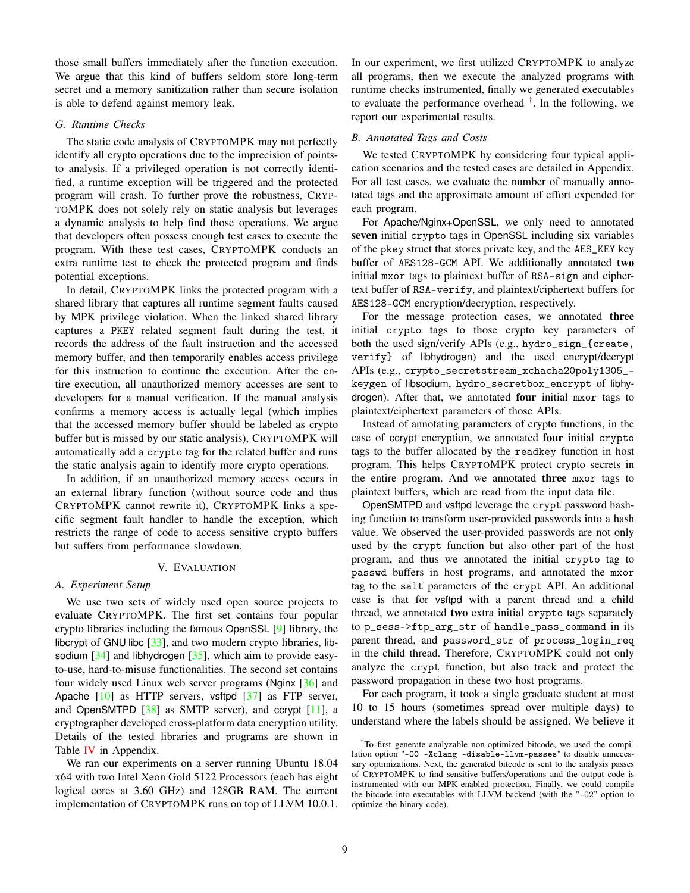those small buffers immediately after the function execution. We argue that this kind of buffers seldom store long-term secret and a memory sanitization rather than secure isolation is able to defend against memory leak.

## <span id="page-8-1"></span>*G. Runtime Checks*

The static code analysis of CRYPTOMPK may not perfectly identify all crypto operations due to the imprecision of pointsto analysis. If a privileged operation is not correctly identified, a runtime exception will be triggered and the protected program will crash. To further prove the robustness, CRYP-TOMPK does not solely rely on static analysis but leverages a dynamic analysis to help find those operations. We argue that developers often possess enough test cases to execute the program. With these test cases, CRYPTOMPK conducts an extra runtime test to check the protected program and finds potential exceptions.

In detail, CRYPTOMPK links the protected program with a shared library that captures all runtime segment faults caused by MPK privilege violation. When the linked shared library captures a PKEY related segment fault during the test, it records the address of the fault instruction and the accessed memory buffer, and then temporarily enables access privilege for this instruction to continue the execution. After the entire execution, all unauthorized memory accesses are sent to developers for a manual verification. If the manual analysis confirms a memory access is actually legal (which implies that the accessed memory buffer should be labeled as crypto buffer but is missed by our static analysis), CRYPTOMPK will automatically add a crypto tag for the related buffer and runs the static analysis again to identify more crypto operations.

In addition, if an unauthorized memory access occurs in an external library function (without source code and thus CRYPTOMPK cannot rewrite it), CRYPTOMPK links a specific segment fault handler to handle the exception, which restricts the range of code to access sensitive crypto buffers but suffers from performance slowdown.

#### V. EVALUATION

#### *A. Experiment Setup*

We use two sets of widely used open source projects to evaluate CRYPTOMPK. The first set contains four popular crypto libraries including the famous OpenSSL [\[9\]](#page-13-8) library, the libcrypt of GNU libc  $[33]$ , and two modern crypto libraries, libsodium  $[34]$  and libhydrogen  $[35]$ , which aim to provide easyto-use, hard-to-misuse functionalities. The second set contains four widely used Linux web server programs (Nginx [\[36\]](#page-13-35) and Apache  $[10]$  as HTTP servers, vsftpd  $[37]$  as FTP server, and OpenSMTPD  $[38]$  as SMTP server), and ccrypt  $[11]$ , a cryptographer developed cross-platform data encryption utility. Details of the tested libraries and programs are shown in Table [IV](#page-14-0) in Appendix.

We ran our experiments on a server running Ubuntu 18.04 x64 with two Intel Xeon Gold 5122 Processors (each has eight logical cores at 3.60 GHz) and 128GB RAM. The current implementation of CRYPTOMPK runs on top of LLVM 10.0.1. In our experiment, we first utilized CRYPTOMPK to analyze all programs, then we execute the analyzed programs with runtime checks instrumented, finally we generated executables to evaluate the performance overhead  $^{\dagger}$ . In the following, we report our experimental results.

## <span id="page-8-0"></span>*B. Annotated Tags and Costs*

We tested CRYPTOMPK by considering four typical application scenarios and the tested cases are detailed in Appendix. For all test cases, we evaluate the number of manually annotated tags and the approximate amount of effort expended for each program.

For Apache/Nginx+OpenSSL, we only need to annotated seven initial crypto tags in OpenSSL including six variables of the pkey struct that stores private key, and the AES\_KEY key buffer of AES128-GCM API. We additionally annotated two initial mxor tags to plaintext buffer of RSA-sign and ciphertext buffer of RSA-verify, and plaintext/ciphertext buffers for AES128-GCM encryption/decryption, respectively.

For the message protection cases, we annotated three initial crypto tags to those crypto key parameters of both the used sign/verify APIs (e.g., hydro\_sign\_{create, verify} of libhydrogen) and the used encrypt/decrypt APIs (e.g., crypto\_secretstream\_xchacha20poly1305\_ keygen of libsodium, hydro\_secretbox\_encrypt of libhydrogen). After that, we annotated four initial mxor tags to plaintext/ciphertext parameters of those APIs.

Instead of annotating parameters of crypto functions, in the case of ccrypt encryption, we annotated four initial crypto tags to the buffer allocated by the readkey function in host program. This helps CRYPTOMPK protect crypto secrets in the entire program. And we annotated three mxor tags to plaintext buffers, which are read from the input data file.

OpenSMTPD and vsftpd leverage the crypt password hashing function to transform user-provided passwords into a hash value. We observed the user-provided passwords are not only used by the crypt function but also other part of the host program, and thus we annotated the initial crypto tag to passwd buffers in host programs, and annotated the mxor tag to the salt parameters of the crypt API. An additional case is that for vsftpd with a parent thread and a child thread, we annotated two extra initial crypto tags separately to p\_sess->ftp\_arg\_str of handle\_pass\_command in its parent thread, and password\_str of process\_login\_req in the child thread. Therefore, CRYPTOMPK could not only analyze the crypt function, but also track and protect the password propagation in these two host programs.

For each program, it took a single graduate student at most 10 to 15 hours (sometimes spread over multiple days) to understand where the labels should be assigned. We believe it

<span id="page-8-2"></span><sup>†</sup>To first generate analyzable non-optimized bitcode, we used the compilation option "-O0 -Xclang -disable-llvm-passes" to disable unnecessary optimizations. Next, the generated bitcode is sent to the analysis passes of CRYPTOMPK to find sensitive buffers/operations and the output code is instrumented with our MPK-enabled protection. Finally, we could compile the bitcode into executables with LLVM backend (with the "-O2" option to optimize the binary code).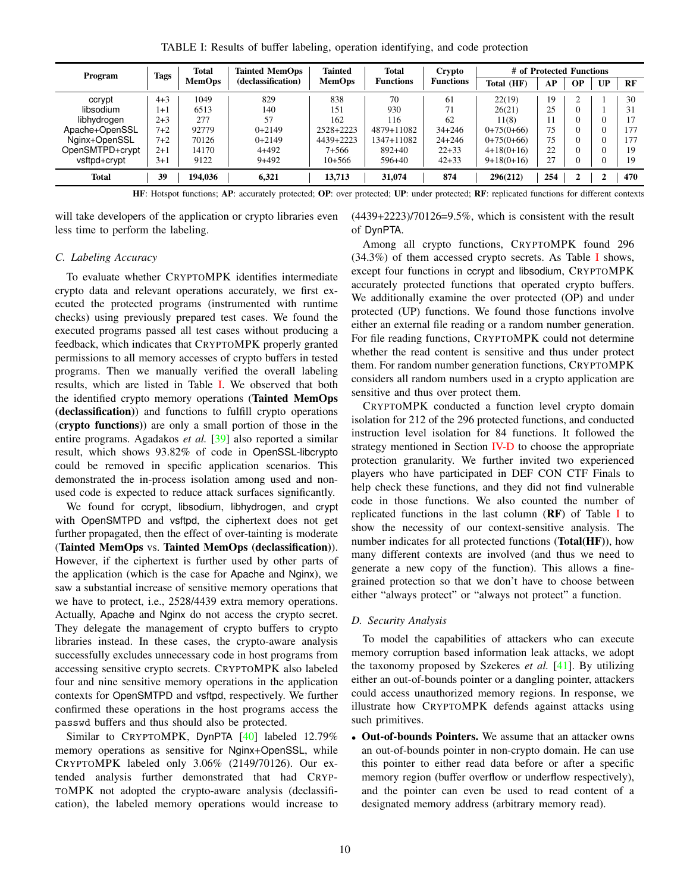TABLE I: Results of buffer labeling, operation identifying, and code protection

<span id="page-9-2"></span>

| Program         | Total<br>Tags | <b>Tainted MemOps</b> | Tainted            | <b>Total</b>  | Crypto           | # of Protected Functions |              |     |           |    |           |
|-----------------|---------------|-----------------------|--------------------|---------------|------------------|--------------------------|--------------|-----|-----------|----|-----------|
|                 |               | <b>MemOps</b>         | (declassification) | <b>MemOps</b> | <b>Functions</b> | <b>Functions</b>         | Total (HF)   | AP  | <b>OP</b> | UP | <b>RF</b> |
| ccrypt          | $4 + 3$       | 1049                  | 829                | 838           | 70               | 61                       | 22(19)       | 19  |           |    | 30        |
| libsodium       | 1+1           | 6513                  | 140                | 151           | 930              | 71                       | 26(21)       | 25  | $\Omega$  |    | 31        |
| libhydrogen     | $2 + 3$       | 277                   | 57                 | 162           | 116              | 62                       | 11(8)        | 11  |           |    | 17        |
| Apache+OpenSSL  | $7 + 2$       | 92779                 | $0+2149$           | 2528+2223     | 4879+11082       | $34 + 246$               | $0+75(0+66)$ | 75  |           |    | 177       |
| Nginx+OpenSSL   | $7 + 2$       | 70126                 | $0+2149$           | 4439+2223     | 1347+11082       | $24 + 246$               | $0+75(0+66)$ | 75  |           |    | 177       |
| OpenSMTPD+crypt | $2+1$         | 14170                 | $4+492$            | 7+566         | $892+40$         | $22+33$                  | $4+18(0+16)$ | 22  |           |    | 19        |
| vsftpd+crypt    | $3 + 1$       | 9122                  | $9+492$            | $10+566$      | $596 + 40$       | $42 + 33$                | $9+18(0+16)$ | 27  |           |    | 19        |
| <b>Total</b>    | 39            | 194.036               | 6.321              | 13,713        | 31,074           | 874                      | 296(212)     | 254 | 2         | ◠  | 470       |

HF: Hotspot functions; AP: accurately protected; OP: over protected; UP: under protected; RF: replicated functions for different contexts

will take developers of the application or crypto libraries even less time to perform the labeling.

(4439+2223)/70126=9.5%, which is consistent with the result of DynPTA.

## <span id="page-9-1"></span>*C. Labeling Accuracy*

To evaluate whether CRYPTOMPK identifies intermediate crypto data and relevant operations accurately, we first executed the protected programs (instrumented with runtime checks) using previously prepared test cases. We found the executed programs passed all test cases without producing a feedback, which indicates that CRYPTOMPK properly granted permissions to all memory accesses of crypto buffers in tested programs. Then we manually verified the overall labeling results, which are listed in Table [I.](#page-9-2) We observed that both the identified crypto memory operations (Tainted MemOps (declassification)) and functions to fulfill crypto operations (crypto functions)) are only a small portion of those in the entire programs. Agadakos *et al.* [\[39\]](#page-13-38) also reported a similar result, which shows 93.82% of code in OpenSSL-libcrypto could be removed in specific application scenarios. This demonstrated the in-process isolation among used and nonused code is expected to reduce attack surfaces significantly.

We found for ccrypt, libsodium, libhydrogen, and crypt with OpenSMTPD and vsftpd, the ciphertext does not get further propagated, then the effect of over-tainting is moderate (Tainted MemOps vs. Tainted MemOps (declassification)). However, if the ciphertext is further used by other parts of the application (which is the case for Apache and Nginx), we saw a substantial increase of sensitive memory operations that we have to protect, i.e., 2528/4439 extra memory operations. Actually, Apache and Nginx do not access the crypto secret. They delegate the management of crypto buffers to crypto libraries instead. In these cases, the crypto-aware analysis successfully excludes unnecessary code in host programs from accessing sensitive crypto secrets. CRYPTOMPK also labeled four and nine sensitive memory operations in the application contexts for OpenSMTPD and vsftpd, respectively. We further confirmed these operations in the host programs access the passwd buffers and thus should also be protected.

Similar to CRYPTOMPK, DynPTA [\[40\]](#page-13-39) labeled 12.79% memory operations as sensitive for Nginx+OpenSSL, while CRYPTOMPK labeled only 3.06% (2149/70126). Our extended analysis further demonstrated that had CRYP-TOMPK not adopted the crypto-aware analysis (declassification), the labeled memory operations would increase to

Among all crypto functions, CRYPTOMPK found 296 (34.3%) of them accessed crypto secrets. As Table [I](#page-9-2) shows, except four functions in ccrypt and libsodium, CRYPTOMPK accurately protected functions that operated crypto buffers. We additionally examine the over protected (OP) and under protected (UP) functions. We found those functions involve either an external file reading or a random number generation. For file reading functions, CRYPTOMPK could not determine whether the read content is sensitive and thus under protect them. For random number generation functions, CRYPTOMPK considers all random numbers used in a crypto application are sensitive and thus over protect them.

CRYPTOMPK conducted a function level crypto domain isolation for 212 of the 296 protected functions, and conducted instruction level isolation for 84 functions. It followed the strategy mentioned in Section [IV-D](#page-7-1) to choose the appropriate protection granularity. We further invited two experienced players who have participated in DEF CON CTF Finals to help check these functions, and they did not find vulnerable code in those functions. We also counted the number of replicated functions in the last column  $(RF)$  of Table [I](#page-9-2) to show the necessity of our context-sensitive analysis. The number indicates for all protected functions (Total(HF)), how many different contexts are involved (and thus we need to generate a new copy of the function). This allows a finegrained protection so that we don't have to choose between either "always protect" or "always not protect" a function.

## <span id="page-9-0"></span>*D. Security Analysis*

To model the capabilities of attackers who can execute memory corruption based information leak attacks, we adopt the taxonomy proposed by Szekeres *et al.* [\[41\]](#page-13-40). By utilizing either an out-of-bounds pointer or a dangling pointer, attackers could access unauthorized memory regions. In response, we illustrate how CRYPTOMPK defends against attacks using such primitives.

• Out-of-bounds Pointers. We assume that an attacker owns an out-of-bounds pointer in non-crypto domain. He can use this pointer to either read data before or after a specific memory region (buffer overflow or underflow respectively), and the pointer can even be used to read content of a designated memory address (arbitrary memory read).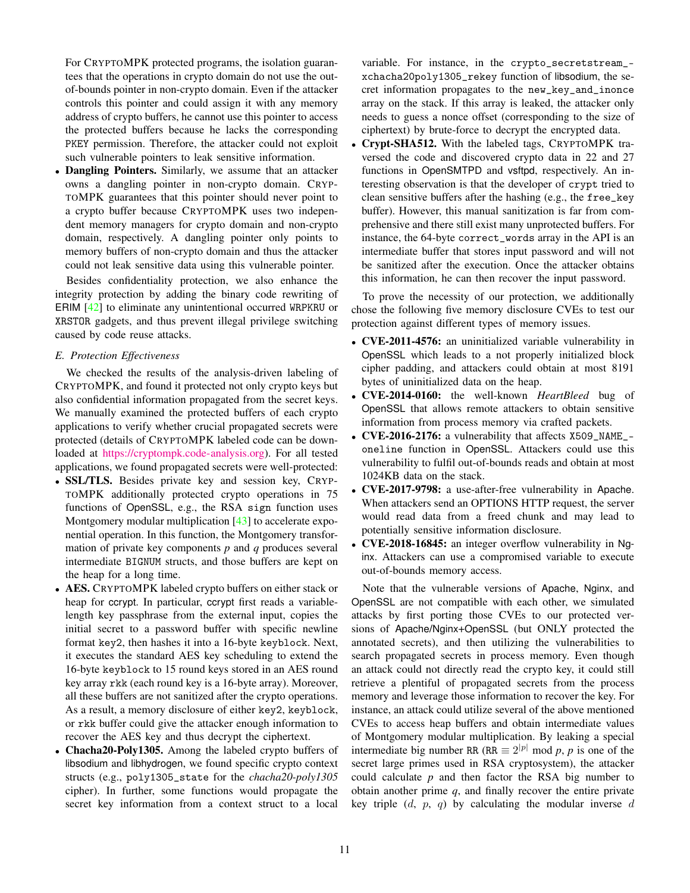For CRYPTOMPK protected programs, the isolation guarantees that the operations in crypto domain do not use the outof-bounds pointer in non-crypto domain. Even if the attacker controls this pointer and could assign it with any memory address of crypto buffers, he cannot use this pointer to access the protected buffers because he lacks the corresponding PKEY permission. Therefore, the attacker could not exploit such vulnerable pointers to leak sensitive information.

• Dangling Pointers. Similarly, we assume that an attacker owns a dangling pointer in non-crypto domain. CRYP-TOMPK guarantees that this pointer should never point to a crypto buffer because CRYPTOMPK uses two independent memory managers for crypto domain and non-crypto domain, respectively. A dangling pointer only points to memory buffers of non-crypto domain and thus the attacker could not leak sensitive data using this vulnerable pointer.

Besides confidentiality protection, we also enhance the integrity protection by adding the binary code rewriting of ERIM [\[42\]](#page-13-41) to eliminate any unintentional occurred WRPKRU or XRSTOR gadgets, and thus prevent illegal privilege switching caused by code reuse attacks.

# <span id="page-10-0"></span>*E. Protection Effectiveness*

We checked the results of the analysis-driven labeling of CRYPTOMPK, and found it protected not only crypto keys but also confidential information propagated from the secret keys. We manually examined the protected buffers of each crypto applications to verify whether crucial propagated secrets were protected (details of CRYPTOMPK labeled code can be downloaded at [https://cryptompk.code-analysis.org\)](https://cryptompk.code-analysis.org). For all tested applications, we found propagated secrets were well-protected:

- **SSL/TLS.** Besides private key and session key, CRYP-TOMPK additionally protected crypto operations in 75 functions of OpenSSL, e.g., the RSA sign function uses Montgomery modular multiplication [\[43\]](#page-13-42) to accelerate exponential operation. In this function, the Montgomery transformation of private key components *p* and *q* produces several intermediate BIGNUM structs, and those buffers are kept on the heap for a long time.
- AES. CRYPTOMPK labeled crypto buffers on either stack or heap for ccrypt. In particular, ccrypt first reads a variablelength key passphrase from the external input, copies the initial secret to a password buffer with specific newline format key2, then hashes it into a 16-byte keyblock. Next, it executes the standard AES key scheduling to extend the 16-byte keyblock to 15 round keys stored in an AES round key array rkk (each round key is a 16-byte array). Moreover, all these buffers are not sanitized after the crypto operations. As a result, a memory disclosure of either key2, keyblock, or rkk buffer could give the attacker enough information to recover the AES key and thus decrypt the ciphertext.
- Chacha20-Poly1305. Among the labeled crypto buffers of libsodium and libhydrogen, we found specific crypto context structs (e.g., poly1305\_state for the *chacha20-poly1305* cipher). In further, some functions would propagate the secret key information from a context struct to a local

variable. For instance, in the crypto\_secretstream\_ xchacha20poly1305\_rekey function of libsodium, the secret information propagates to the new\_key\_and\_inonce array on the stack. If this array is leaked, the attacker only needs to guess a nonce offset (corresponding to the size of ciphertext) by brute-force to decrypt the encrypted data.

• Crypt-SHA512. With the labeled tags, CRYPTOMPK traversed the code and discovered crypto data in 22 and 27 functions in OpenSMTPD and vsftpd, respectively. An interesting observation is that the developer of crypt tried to clean sensitive buffers after the hashing (e.g., the free\_key buffer). However, this manual sanitization is far from comprehensive and there still exist many unprotected buffers. For instance, the 64-byte correct\_words array in the API is an intermediate buffer that stores input password and will not be sanitized after the execution. Once the attacker obtains this information, he can then recover the input password.

To prove the necessity of our protection, we additionally chose the following five memory disclosure CVEs to test our protection against different types of memory issues.

- CVE-2011-4576: an uninitialized variable vulnerability in OpenSSL which leads to a not properly initialized block cipher padding, and attackers could obtain at most 8191 bytes of uninitialized data on the heap.
- CVE-2014-0160: the well-known *HeartBleed* bug of OpenSSL that allows remote attackers to obtain sensitive information from process memory via crafted packets.
- CVE-2016-2176: a vulnerability that affects X509\_NAME\_ oneline function in OpenSSL. Attackers could use this vulnerability to fulfil out-of-bounds reads and obtain at most 1024KB data on the stack.
- CVE-2017-9798: a use-after-free vulnerability in Apache. When attackers send an OPTIONS HTTP request, the server would read data from a freed chunk and may lead to potentially sensitive information disclosure.
- CVE-2018-16845: an integer overflow vulnerability in Nginx. Attackers can use a compromised variable to execute out-of-bounds memory access.

Note that the vulnerable versions of Apache, Nginx, and OpenSSL are not compatible with each other, we simulated attacks by first porting those CVEs to our protected versions of Apache/Nginx+OpenSSL (but ONLY protected the annotated secrets), and then utilizing the vulnerabilities to search propagated secrets in process memory. Even though an attack could not directly read the crypto key, it could still retrieve a plentiful of propagated secrets from the process memory and leverage those information to recover the key. For instance, an attack could utilize several of the above mentioned CVEs to access heap buffers and obtain intermediate values of Montgomery modular multiplication. By leaking a special intermediate big number RR (RR  $\equiv 2^{|p|}$  mod p, p is one of the secret large primes used in RSA cryptosystem), the attacker could calculate *p* and then factor the RSA big number to obtain another prime *q*, and finally recover the entire private key triple  $(d, p, q)$  by calculating the modular inverse d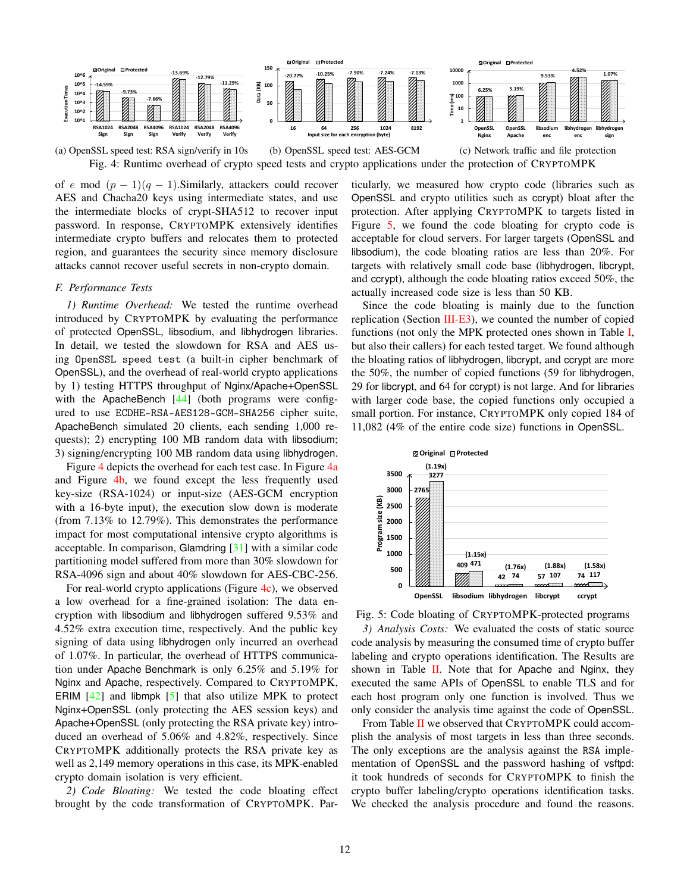<span id="page-11-0"></span>

(a) OpenSSL speed test: RSA sign/verify in 10s (b) OpenSSL speed test: AES-GCM (c) Network traffic and file protection Fig. 4: Runtime overhead of crypto speed tests and crypto applications under the protection of CRYPTOMPK

of e mod  $(p-1)(q-1)$ . Similarly, attackers could recover AES and Chacha20 keys using intermediate states, and use the intermediate blocks of crypt-SHA512 to recover input password. In response, CRYPTOMPK extensively identifies intermediate crypto buffers and relocates them to protected region, and guarantees the security since memory disclosure attacks cannot recover useful secrets in non-crypto domain.

#### *F. Performance Tests*

*1) Runtime Overhead:* We tested the runtime overhead introduced by CRYPTOMPK by evaluating the performance of protected OpenSSL, libsodium, and libhydrogen libraries. In detail, we tested the slowdown for RSA and AES using OpenSSL speed test (a built-in cipher benchmark of OpenSSL), and the overhead of real-world crypto applications by 1) testing HTTPS throughput of Nginx/Apache+OpenSSL with the ApacheBench [\[44\]](#page-13-43) (both programs were configured to use ECDHE-RSA-AES128-GCM-SHA256 cipher suite, ApacheBench simulated 20 clients, each sending 1,000 requests); 2) encrypting 100 MB random data with libsodium; 3) signing/encrypting 100 MB random data using libhydrogen.

Figure [4](#page-11-0) depicts the overhead for each test case. In Figure [4a](#page-11-0) and Figure [4b,](#page-11-0) we found except the less frequently used key-size (RSA-1024) or input-size (AES-GCM encryption with a 16-byte input), the execution slow down is moderate (from 7.13% to 12.79%). This demonstrates the performance impact for most computational intensive crypto algorithms is acceptable. In comparison, Glamdring [\[31\]](#page-13-30) with a similar code partitioning model suffered from more than 30% slowdown for RSA-4096 sign and about 40% slowdown for AES-CBC-256.

For real-world crypto applications (Figure [4c\)](#page-11-0), we observed a low overhead for a fine-grained isolation: The data encryption with libsodium and libhydrogen suffered 9.53% and 4.52% extra execution time, respectively. And the public key signing of data using libhydrogen only incurred an overhead of 1.07%. In particular, the overhead of HTTPS communication under Apache Benchmark is only 6.25% and 5.19% for Nginx and Apache, respectively. Compared to CRYPTOMPK, ERIM  $[42]$  and libmpk  $[5]$  that also utilize MPK to protect Nginx+OpenSSL (only protecting the AES session keys) and Apache+OpenSSL (only protecting the RSA private key) introduced an overhead of 5.06% and 4.82%, respectively. Since CRYPTOMPK additionally protects the RSA private key as well as 2,149 memory operations in this case, its MPK-enabled crypto domain isolation is very efficient.

*2) Code Bloating:* We tested the code bloating effect brought by the code transformation of CRYPTOMPK. Particularly, we measured how crypto code (libraries such as OpenSSL and crypto utilities such as ccrypt) bloat after the protection. After applying CRYPTOMPK to targets listed in Figure [5,](#page-11-1) we found the code bloating for crypto code is acceptable for cloud servers. For larger targets (OpenSSL and libsodium), the code bloating ratios are less than 20%. For targets with relatively small code base (libhydrogen, libcrypt, and ccrypt), although the code bloating ratios exceed 50%, the actually increased code size is less than 50 KB.

Since the code bloating is mainly due to the function replication (Section  $III$ -E3), we counted the number of copied functions (not only the MPK protected ones shown in Table [I,](#page-9-2) but also their callers) for each tested target. We found although the bloating ratios of libhydrogen, libcrypt, and ccrypt are more the 50%, the number of copied functions (59 for libhydrogen, 29 for libcrypt, and 64 for ccrypt) is not large. And for libraries with larger code base, the copied functions only occupied a small portion. For instance, CRYPTOMPK only copied 184 of 11,082 (4% of the entire code size) functions in OpenSSL.

<span id="page-11-1"></span>

Fig. 5: Code bloating of CRYPTOMPK-protected programs *3) Analysis Costs:* We evaluated the costs of static source code analysis by measuring the consumed time of crypto buffer labeling and crypto operations identification. The Results are shown in Table  $II$ . Note that for Apache and Nginx, they executed the same APIs of OpenSSL to enable TLS and for each host program only one function is involved. Thus we only consider the analysis time against the code of OpenSSL.

From Table [II](#page-12-0) we observed that CRYPTOMPK could accomplish the analysis of most targets in less than three seconds. The only exceptions are the analysis against the RSA implementation of OpenSSL and the password hashing of vsftpd: it took hundreds of seconds for CRYPTOMPK to finish the crypto buffer labeling/crypto operations identification tasks. We checked the analysis procedure and found the reasons.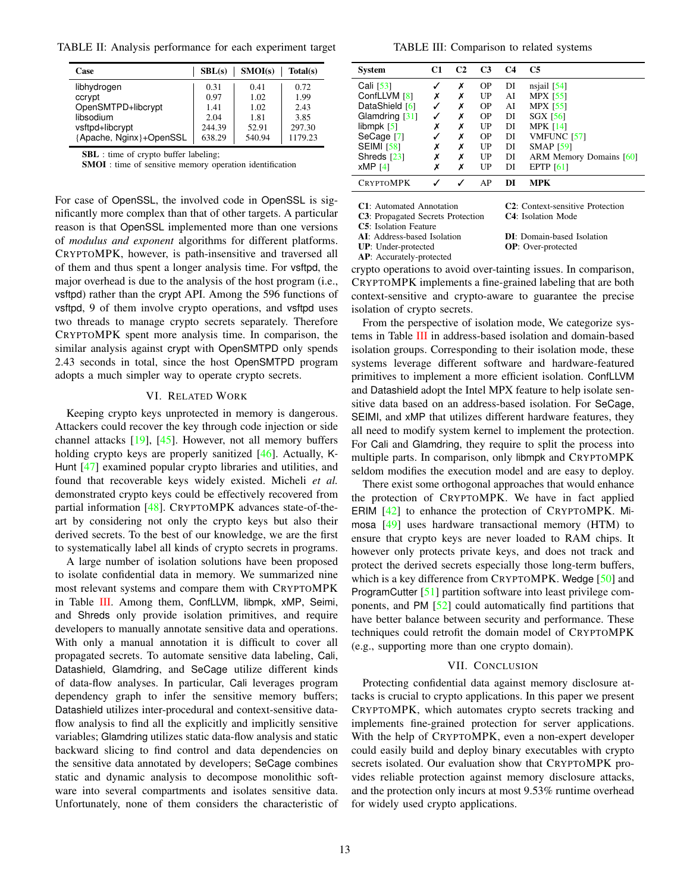<span id="page-12-0"></span>TABLE II: Analysis performance for each experiment target

| Case                    | SBL(s) | SMOI(s) | Total(s) |
|-------------------------|--------|---------|----------|
| libhydrogen             | 0.31   | 0.41    | 0.72     |
| ccrypt                  | 0.97   | 1.02    | 1.99     |
| OpenSMTPD+libcrypt      | 1.41   | 1.02    | 2.43     |
| libsodium               | 2.04   | 1.81    | 3.85     |
| vsftpd+libcrypt         | 244.39 | 52.91   | 297.30   |
| {Apache, Nginx}+OpenSSL | 638.29 | 540.94  | 1179.23  |

SBL : time of crypto buffer labeling;

SMOI : time of sensitive memory operation identification

For case of OpenSSL, the involved code in OpenSSL is significantly more complex than that of other targets. A particular reason is that OpenSSL implemented more than one versions of *modulus and exponent* algorithms for different platforms. CRYPTOMPK, however, is path-insensitive and traversed all of them and thus spent a longer analysis time. For vsftpd, the major overhead is due to the analysis of the host program (i.e., vsftpd) rather than the crypt API. Among the 596 functions of vsftpd, 9 of them involve crypto operations, and vsftpd uses two threads to manage crypto secrets separately. Therefore CRYPTOMPK spent more analysis time. In comparison, the similar analysis against crypt with OpenSMTPD only spends 2.43 seconds in total, since the host OpenSMTPD program adopts a much simpler way to operate crypto secrets.

## VI. RELATED WORK

Keeping crypto keys unprotected in memory is dangerous. Attackers could recover the key through code injection or side channel attacks [\[19\]](#page-13-18), [\[45\]](#page-13-44). However, not all memory buffers holding crypto keys are properly sanitized [\[46\]](#page-13-45). Actually, K-Hunt [\[47\]](#page-13-46) examined popular crypto libraries and utilities, and found that recoverable keys widely existed. Micheli *et al.* demonstrated crypto keys could be effectively recovered from partial information [\[48\]](#page-13-47). CRYPTOMPK advances state-of-theart by considering not only the crypto keys but also their derived secrets. To the best of our knowledge, we are the first to systematically label all kinds of crypto secrets in programs.

A large number of isolation solutions have been proposed to isolate confidential data in memory. We summarized nine most relevant systems and compare them with CRYPTOMPK in Table [III.](#page-12-1) Among them, ConfLLVM, libmpk, xMP, Seimi, and Shreds only provide isolation primitives, and require developers to manually annotate sensitive data and operations. With only a manual annotation it is difficult to cover all propagated secrets. To automate sensitive data labeling, Cali, Datashield, Glamdring, and SeCage utilize different kinds of data-flow analyses. In particular, Cali leverages program dependency graph to infer the sensitive memory buffers; Datashield utilizes inter-procedural and context-sensitive dataflow analysis to find all the explicitly and implicitly sensitive variables; Glamdring utilizes static data-flow analysis and static backward slicing to find control and data dependencies on the sensitive data annotated by developers; SeCage combines static and dynamic analysis to decompose monolithic software into several compartments and isolates sensitive data. Unfortunately, none of them considers the characteristic of

<span id="page-12-1"></span>

| System            | C1 | C <sub>2</sub> | C <sub>3</sub> | C4 | <b>C5</b>               |
|-------------------|----|----------------|----------------|----|-------------------------|
| Cali $[53]$       |    | х              | <b>OP</b>      | DI | nsjail $[54]$           |
| ConfLLVM [8]      | Х  | х              | UP             | AI | <b>MPX</b> [55]         |
| DataShield [6]    |    | Х              | <b>OP</b>      | AI | <b>MPX</b> [55]         |
| Glamdring [31]    |    | х              | <b>OP</b>      | DI | <b>SGX [56]</b>         |
| libmpk $[5]$      | х  | х              | UP             | DI | <b>MPK [14]</b>         |
| SeCage [7]        |    | х              | <b>OP</b>      | DI | VMFUNC [57]             |
| <b>SEIMI [58]</b> | х  | х              | UP             | DI | <b>SMAP</b> [59]        |
| Shreds $[23]$     | х  | x              | UP             | DI | ARM Memory Domains [60] |
| $xMP$ [4]         | х  | x              | UP             | DI | <b>EPTP</b> [61]        |
| CRYPTOMPK         |    |                | ΑP             | DI | <b>MPK</b>              |

C1: Automated Annotation C2: Context-sensitive Protection

- C3: Propagated Secrets Protection C4: Isolation Mode
- C5: Isolation Feature
- 

UP: Under-protected

AP: Accurately-protected

AI: Address-based Isolation **DI:** Domain-based Isolation **UP**: Under-protected **OP**: Over-protected

crypto operations to avoid over-tainting issues. In comparison, CRYPTOMPK implements a fine-grained labeling that are both context-sensitive and crypto-aware to guarantee the precise isolation of crypto secrets.

From the perspective of isolation mode, We categorize systems in Table [III](#page-12-1) in address-based isolation and domain-based isolation groups. Corresponding to their isolation mode, these systems leverage different software and hardware-featured primitives to implement a more efficient isolation. ConfLLVM and Datashield adopt the Intel MPX feature to help isolate sensitive data based on an address-based isolation. For SeCage, SEIMI, and xMP that utilizes different hardware features, they all need to modify system kernel to implement the protection. For Cali and Glamdring, they require to split the process into multiple parts. In comparison, only libmpk and CRYPTOMPK seldom modifies the execution model and are easy to deploy.

There exist some orthogonal approaches that would enhance the protection of CRYPTOMPK. We have in fact applied ERIM [\[42\]](#page-13-41) to enhance the protection of CRYPTOMPK. Mimosa [\[49\]](#page-14-10) uses hardware transactional memory (HTM) to ensure that crypto keys are never loaded to RAM chips. It however only protects private keys, and does not track and protect the derived secrets especially those long-term buffers, which is a key difference from CRYPTOMPK. Wedge [\[50\]](#page-14-11) and ProgramCutter [\[51\]](#page-14-12) partition software into least privilege components, and PM [\[52\]](#page-14-13) could automatically find partitions that have better balance between security and performance. These techniques could retrofit the domain model of CRYPTOMPK (e.g., supporting more than one crypto domain).

#### VII. CONCLUSION

Protecting confidential data against memory disclosure attacks is crucial to crypto applications. In this paper we present CRYPTOMPK, which automates crypto secrets tracking and implements fine-grained protection for server applications. With the help of CRYPTOMPK, even a non-expert developer could easily build and deploy binary executables with crypto secrets isolated. Our evaluation show that CRYPTOMPK provides reliable protection against memory disclosure attacks, and the protection only incurs at most 9.53% runtime overhead for widely used crypto applications.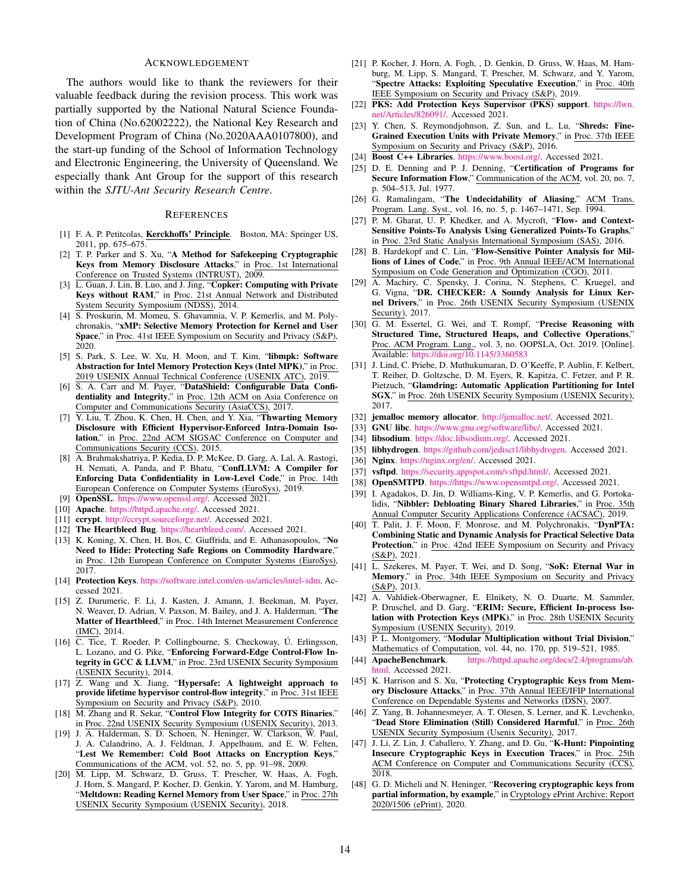## ACKNOWLEDGEMENT

The authors would like to thank the reviewers for their valuable feedback during the revision process. This work was partially supported by the National Natural Science Foundation of China (No.62002222), the National Key Research and Development Program of China (No.2020AAA0107800), and the start-up funding of the School of Information Technology and Electronic Engineering, the University of Queensland. We especially thank Ant Group for the support of this research within the *SJTU-Ant Security Research Centre*.

#### **REFERENCES**

- <span id="page-13-0"></span>[1] F. A. P. Petitcolas, Kerckhoffs' Principle. Boston, MA: Springer US, 2011, pp. 675–675.
- <span id="page-13-1"></span>[2] T. P. Parker and S. Xu, "A Method for Safekeeping Cryptographic Keys from Memory Disclosure Attacks," in Proc. 1st International Conference on Trusted Systems (INTRUST), 2009.
- <span id="page-13-2"></span>[3] L. Guan, J. Lin, B. Luo, and J. Jing, "Copker: Computing with Private Keys without RAM," in Proc. 21st Annual Network and Distributed System Security Symposium (NDSS), 2014.
- <span id="page-13-3"></span>[4] S. Proskurin, M. Momeu, S. Ghavamnia, V. P. Kemerlis, and M. Polychronakis, "xMP: Selective Memory Protection for Kernel and User Space," in Proc. 41st IEEE Symposium on Security and Privacy (S&P), 2020.
- <span id="page-13-4"></span>[5] S. Park, S. Lee, W. Xu, H. Moon, and T. Kim, "libmpk: Software Abstraction for Intel Memory Protection Keys (Intel MPK)," in Proc. 2019 USENIX Annual Technical Conference (USENIX ATC), 2019.
- <span id="page-13-5"></span>[6] S. A. Carr and M. Payer, "DataShield: Configurable Data Confidentiality and Integrity," in Proc. 12th ACM on Asia Conference on Computer and Communications Security (AsiaCCS), 2017.
- <span id="page-13-6"></span>[7] Y. Liu, T. Zhou, K. Chen, H. Chen, and Y. Xia, "Thwarting Memory Disclosure with Efficient Hypervisor-Enforced Intra-Domain Isolation," in Proc. 22nd ACM SIGSAC Conference on Computer and Communications Security (CCS), 2015.
- <span id="page-13-7"></span>[8] A. Brahmakshatriya, P. Kedia, D. P. McKee, D. Garg, A. Lal, A. Rastogi, H. Nemati, A. Panda, and P. Bhatu, "ConfLLVM: A Compiler for Enforcing Data Confidentiality in Low-Level Code," in Proc. 14th European Conference on Computer Systems (EuroSys), 2019.
- <span id="page-13-8"></span>[9] OpenSSL. [https://www.openssl.org/.](https://www.openssl.org/) Accessed 2021.
- <span id="page-13-9"></span>[10] Apache. [https://httpd.apache.org/.](https://httpd.apache.org/) Accessed 2021.
- <span id="page-13-10"></span>[11] ccrypt. [http://ccrypt.sourceforge.net/.](http://ccrypt.sourceforge.net/) Accessed 2021.
- <span id="page-13-11"></span>[12] The Heartbleed Bug. [https://heartbleed.com/.](https://heartbleed.com/) Accessed 2021.
- <span id="page-13-12"></span>[13] K. Koning, X. Chen, H. Bos, C. Giuffrida, and E. Athanasopoulos, "No Need to Hide: Protecting Safe Regions on Commodity Hardware," in Proc. 12th European Conference on Computer Systems (EuroSys), 2017.
- <span id="page-13-13"></span>[14] Protection Keys. [https://software.intel.com/en-us/articles/intel-sdm.](https://software.intel.com/en-us/articles/intel-sdm) Accessed 2021.
- <span id="page-13-14"></span>[15] Z. Durumeric, F. Li, J. Kasten, J. Amann, J. Beekman, M. Payer, N. Weaver, D. Adrian, V. Paxson, M. Bailey, and J. A. Halderman, "The Matter of Heartbleed," in Proc. 14th Internet Measurement Conference (IMC), 2014.
- <span id="page-13-15"></span>[16] C. Tice, T. Roeder, P. Collingbourne, S. Checkoway, Ú. Erlingsson, L. Lozano, and G. Pike, "Enforcing Forward-Edge Control-Flow Integrity in GCC & LLVM," in Proc. 23rd USENIX Security Symposium (USENIX Security), 2014.
- <span id="page-13-16"></span>[17] Z. Wang and X. Jiang, "Hypersafe: A lightweight approach to provide lifetime hypervisor control-flow integrity," in Proc. 31st IEEE Symposium on Security and Privacy (S&P), 2010.
- <span id="page-13-17"></span>[18] M. Zhang and R. Sekar, "Control Flow Integrity for COTS Binaries," in Proc. 22nd USENIX Security Symposium (USENIX Security), 2013.
- <span id="page-13-18"></span>[19] J. A. Halderman, S. D. Schoen, N. Heninger, W. Clarkson, W. Paul, J. A. Calandrino, A. J. Feldman, J. Appelbaum, and E. W. Felten, "Lest We Remember: Cold Boot Attacks on Encryption Keys," Communications of the ACM, vol. 52, no. 5, pp. 91–98, 2009.
- <span id="page-13-19"></span>[20] M. Lipp, M. Schwarz, D. Gruss, T. Prescher, W. Haas, A. Fogh, J. Horn, S. Mangard, P. Kocher, D. Genkin, Y. Yarom, and M. Hamburg, "Meltdown: Reading Kernel Memory from User Space," in Proc. 27th USENIX Security Symposium (USENIX Security), 2018.
- <span id="page-13-20"></span>[21] P. Kocher, J. Horn, A. Fogh, , D. Genkin, D. Gruss, W. Haas, M. Hamburg, M. Lipp, S. Mangard, T. Prescher, M. Schwarz, and Y. Yarom, "Spectre Attacks: Exploiting Speculative Execution," in Proc. 40th IEEE Symposium on Security and Privacy (S&P), 2019.
- <span id="page-13-21"></span>[22] PKS: Add Protection Keys Supervisor (PKS) support. [https://lwn.](https://lwn.net/Articles/826091/) [net/Articles/826091/.](https://lwn.net/Articles/826091/) Accessed 2021.
- <span id="page-13-22"></span>[23] Y. Chen, S. Reymondjohnson, Z. Sun, and L. Lu, "Shreds: Fine-Grained Execution Units with Private Memory," in Proc. 37th IEEE Symposium on Security and Privacy (S&P), 2016.
- <span id="page-13-23"></span>[24] Boost C++ Libraries. [https://www.boost.org/.](https://www.boost.org/) Accessed 2021.
- <span id="page-13-24"></span>[25] D. E. Denning and P. J. Denning, "Certification of Programs for Secure Information Flow," Communication of the ACM, vol. 20, no. 7, p. 504–513, Jul. 1977.
- <span id="page-13-25"></span>[26] G. Ramalingam, "The Undecidability of Aliasing," ACM Trans. Program. Lang. Syst., vol. 16, no. 5, p. 1467–1471, Sep. 1994.
- <span id="page-13-26"></span>[27] P. M. Gharat, U. P. Khedker, and A. Mycroft, "Flow- and Context-Sensitive Points-To Analysis Using Generalized Points-To Graphs," in Proc. 23rd Static Analysis International Symposium (SAS), 2016.
- <span id="page-13-27"></span>[28] B. Hardekopf and C. Lin, "Flow-Sensitive Pointer Analysis for Millions of Lines of Code," in Proc. 9th Annual IEEE/ACM International Symposium on Code Generation and Optimization (CGO), 2011.
- <span id="page-13-28"></span>[29] A. Machiry, C. Spensky, J. Corina, N. Stephens, C. Kruegel, and G. Vigna, "DR. CHECKER: A Soundy Analysis for Linux Kernel Drivers," in Proc. 26th USENIX Security Symposium (USENIX Security), 2017.
- <span id="page-13-29"></span>[30] G. M. Essertel, G. Wei, and T. Rompf, "Precise Reasoning with Structured Time, Structured Heaps, and Collective Operations," Proc. ACM Program. Lang., vol. 3, no. OOPSLA, Oct. 2019. [Online]. Available: <https://doi.org/10.1145/3360583>
- <span id="page-13-30"></span>[31] J. Lind, C. Priebe, D. Muthukumaran, D. O'Keeffe, P. Aublin, F. Kelbert, T. Reiher, D. Goltzsche, D. M. Eyers, R. Kapitza, C. Fetzer, and P. R. Pietzuch, "Glamdring: Automatic Application Partitioning for Intel SGX," in Proc. 26th USENIX Security Symposium (USENIX Security), 2017.
- <span id="page-13-31"></span>[32] jemalloc memory allocator. [http://jemalloc.net/.](http://jemalloc.net/) Accessed 2021.
- <span id="page-13-32"></span>[33] GNU libc. [https://www.gnu.org/software/libc/.](https://www.gnu.org/software/libc/) Accessed 2021.
- <span id="page-13-33"></span>[34] libsodium. [https://doc.libsodium.org/.](https://doc.libsodium.org/) Accessed 2021.
- <span id="page-13-34"></span>[35] libhydrogen. [https://github.com/jedisct1/libhydrogen.](https://github.com/jedisct1/libhydrogen) Accessed 2021.
- <span id="page-13-35"></span>[36] Nginx. [https://nginx.org/en/.](https://nginx.org/en/) Accessed 2021.
- <span id="page-13-36"></span>[37] vsftpd. [https://security.appspot.com/vsftpd.html/.](https://security.appspot.com/vsftpd.html/) Accessed 2021.
- <span id="page-13-37"></span>[38] OpenSMTPD. [https://https://www.opensmtpd.org/.](https://https://www.opensmtpd.org/) Accessed 2021.
- <span id="page-13-38"></span>[39] I. Agadakos, D. Jin, D. Williams-King, V. P. Kemerlis, and G. Portokalidis, "Nibbler: Debloating Binary Shared Libraries," in Proc. 35th Annual Computer Security Applications Conference (ACSAC), 2019.
- <span id="page-13-39"></span>[40] T. Palit, J. F. Moon, F. Monrose, and M. Polychronakis, "DynPTA: Combining Static and Dynamic Analysis for Practical Selective Data Protection," in Proc. 42nd IEEE Symposium on Security and Privacy (S&P), 2021.
- <span id="page-13-40"></span>[41] L. Szekeres, M. Payer, T. Wei, and D. Song, "SoK: Eternal War in Memory," in Proc. 34th IEEE Symposium on Security and Privacy (S&P), 2013.
- <span id="page-13-41"></span>[42] A. Vahldiek-Oberwagner, E. Elnikety, N. O. Duarte, M. Sammler, P. Druschel, and D. Garg, "ERIM: Secure, Efficient In-process Isolation with Protection Keys (MPK)," in Proc. 28th USENIX Security Symposium (USENIX Security), 2019.
- <span id="page-13-42"></span>[43] P. L. Montgomery, "Modular Multiplication without Trial Division," Mathematics of Computation, vol. 44, no. 170, pp. 519–521, 1985.
- <span id="page-13-43"></span>[44] ApacheBenchmark. [https://httpd.apache.org/docs/2.4/programs/ab.](https://httpd.apache.org/docs/2.4/programs/ab.html) [html.](https://httpd.apache.org/docs/2.4/programs/ab.html) Accessed 2021.
- <span id="page-13-44"></span>[45] K. Harrison and S. Xu, "Protecting Cryptographic Keys from Memory Disclosure Attacks," in Proc. 37th Annual IEEE/IFIP International Conference on Dependable Systems and Networks (DSN), 2007.
- <span id="page-13-45"></span>[46] Z. Yang, B. Johannesmeyer, A. T. Olesen, S. Lerner, and K. Levchenko, "Dead Store Elimination (Still) Considered Harmful," in Proc. 26th USENIX Security Symposium (Usenix Security), 2017.
- <span id="page-13-46"></span>[47] J. Li, Z. Lin, J. Caballero, Y. Zhang, and D. Gu, "K-Hunt: Pinpointing Insecure Cryptographic Keys in Execution Traces," in Proc. 25th ACM Conference on Computer and Communications Security (CCS),  $\overline{2018}$
- <span id="page-13-47"></span>[48] G. D. Micheli and N. Heninger, "Recovering cryptographic keys from partial information, by example," in Cryptology ePrint Archive: Report 2020/1506 (ePrint), 2020.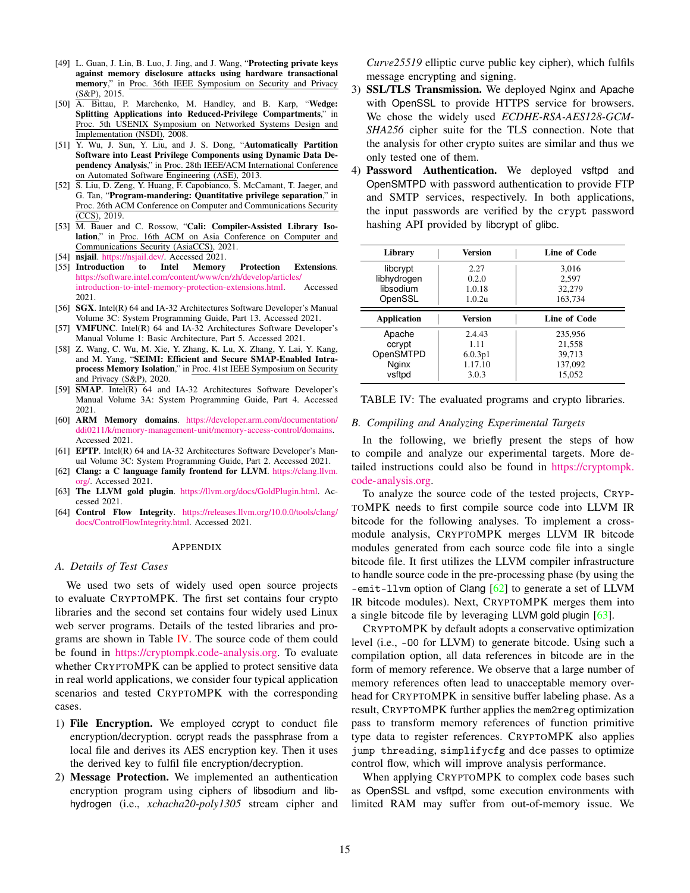- <span id="page-14-10"></span>[49] L. Guan, J. Lin, B. Luo, J. Jing, and J. Wang, "Protecting private keys against memory disclosure attacks using hardware transactional memory," in Proc. 36th IEEE Symposium on Security and Privacy  $(S&P), 2015.$
- <span id="page-14-11"></span>[50] A. Bittau, P. Marchenko, M. Handley, and B. Karp, "Wedge: Splitting Applications into Reduced-Privilege Compartments," in Proc. 5th USENIX Symposium on Networked Systems Design and Implementation (NSDI), 2008.
- <span id="page-14-12"></span>[51] Y. Wu, J. Sun, Y. Liu, and J. S. Dong, "Automatically Partition Software into Least Privilege Components using Dynamic Data Dependency Analysis," in Proc. 28th IEEE/ACM International Conference on Automated Software Engineering (ASE), 2013.
- <span id="page-14-13"></span>[52] S. Liu, D. Zeng, Y. Huang, F. Capobianco, S. McCamant, T. Jaeger, and G. Tan, "Program-mandering: Quantitative privilege separation," in Proc. 26th ACM Conference on Computer and Communications Security (CCS), 2019.
- <span id="page-14-1"></span>[53] M. Bauer and C. Rossow, "Cali: Compiler-Assisted Library Isolation," in Proc. 16th ACM on Asia Conference on Computer and Communications Security (AsiaCCS), 2021.
- <span id="page-14-2"></span>[54] **nsjail**. [https://nsjail.dev/.](https://nsjail.dev/) Accessed 2021.
- <span id="page-14-3"></span>[55] Introduction to Intel Memory Protection Extensions. [https://software.intel.com/content/www/cn/zh/develop/articles/](https://software.intel.com/content/www/cn/zh/develop/articles/introduction-to-intel-memory-protection-extensions.html) [introduction-to-intel-memory-protection-extensions.html.](https://software.intel.com/content/www/cn/zh/develop/articles/introduction-to-intel-memory-protection-extensions.html) Accessed 2021.
- <span id="page-14-4"></span>[56] **SGX**. Intel(R) 64 and IA-32 Architectures Software Developer's Manual Volume 3C: System Programming Guide, Part 13. Accessed 2021.
- <span id="page-14-5"></span>[57] **VMFUNC**. Intel(R) 64 and IA-32 Architectures Software Developer's Manual Volume 1: Basic Architecture, Part 5. Accessed 2021.
- <span id="page-14-6"></span>[58] Z. Wang, C. Wu, M. Xie, Y. Zhang, K. Lu, X. Zhang, Y. Lai, Y. Kang, and M. Yang, "SEIMI: Efficient and Secure SMAP-Enabled Intraprocess Memory Isolation," in Proc. 41st IEEE Symposium on Security and Privacy (S&P), 2020.
- <span id="page-14-7"></span>[59] **SMAP**. Intel(R) 64 and IA-32 Architectures Software Developer's Manual Volume 3A: System Programming Guide, Part 4. Accessed 2021.
- <span id="page-14-8"></span>[60] ARM Memory domains. [https://developer.arm.com/documentation/](https://developer.arm.com/documentation/ddi0211/k/memory-management-unit/memory-access-control/domains) [ddi0211/k/memory-management-unit/memory-access-control/domains.](https://developer.arm.com/documentation/ddi0211/k/memory-management-unit/memory-access-control/domains) Accessed 2021.
- <span id="page-14-9"></span>[61] **EPTP**. Intel(R) 64 and IA-32 Architectures Software Developer's Manual Volume 3C: System Programming Guide, Part 2. Accessed 2021.
- <span id="page-14-14"></span>[62] Clang: a C language family frontend for LLVM. [https://clang.llvm.](https://clang.llvm.org/) [org/.](https://clang.llvm.org/) Accessed 2021.
- <span id="page-14-15"></span>[63] The LLVM gold plugin. [https://llvm.org/docs/GoldPlugin.html.](https://llvm.org/docs/GoldPlugin.html) Accessed 2021.
- <span id="page-14-16"></span>[64] Control Flow Integrity. [https://releases.llvm.org/10.0.0/tools/clang/](https://releases.llvm.org/10.0.0/tools/clang/docs/ControlFlowIntegrity.html) [docs/ControlFlowIntegrity.html.](https://releases.llvm.org/10.0.0/tools/clang/docs/ControlFlowIntegrity.html) Accessed 2021.

#### APPENDIX

#### *A. Details of Test Cases*

We used two sets of widely used open source projects to evaluate CRYPTOMPK. The first set contains four crypto libraries and the second set contains four widely used Linux web server programs. Details of the tested libraries and programs are shown in Table [IV.](#page-14-0) The source code of them could be found in [https://cryptompk.code-analysis.org.](https://cryptompk.code-analysis.org) To evaluate whether CRYPTOMPK can be applied to protect sensitive data in real world applications, we consider four typical application scenarios and tested CRYPTOMPK with the corresponding cases.

- 1) File Encryption. We employed ccrypt to conduct file encryption/decryption. ccrypt reads the passphrase from a local file and derives its AES encryption key. Then it uses the derived key to fulfil file encryption/decryption.
- 2) Message Protection. We implemented an authentication encryption program using ciphers of libsodium and libhydrogen (i.e., *xchacha20-poly1305* stream cipher and

*Curve25519* elliptic curve public key cipher), which fulfils message encrypting and signing.

- 3) SSL/TLS Transmission. We deployed Nginx and Apache with OpenSSL to provide HTTPS service for browsers. We chose the widely used *ECDHE-RSA-AES128-GCM-SHA256* cipher suite for the TLS connection. Note that the analysis for other crypto suites are similar and thus we only tested one of them.
- 4) Password Authentication. We deployed vsftpd and OpenSMTPD with password authentication to provide FTP and SMTP services, respectively. In both applications, the input passwords are verified by the crypt password hashing API provided by libcrypt of glibc.

<span id="page-14-0"></span>

| Library            | Version | Line of Code |
|--------------------|---------|--------------|
| libcrypt           | 2.27    | 3,016        |
| libhydrogen        | 0.2.0   | 2.597        |
| libsodium          | 1.0.18  | 32,279       |
| OpenSSL            | 1.0.2u  | 163,734      |
| <b>Application</b> | Version | Line of Code |
| Apache             | 2.4.43  | 235,956      |
| ccrypt             | 1.11    | 21,558       |
| OpenSMTPD          | 6.0.3p1 | 39.713       |
| Nginx              | 1.17.10 | 137,092      |
| vsftpd             | 3.0.3   | 15.052       |

TABLE IV: The evaluated programs and crypto libraries.

## *B. Compiling and Analyzing Experimental Targets*

In the following, we briefly present the steps of how to compile and analyze our experimental targets. More detailed instructions could also be found in [https://cryptompk.](https://cryptompk.code-analysis.org) [code-analysis.org.](https://cryptompk.code-analysis.org)

To analyze the source code of the tested projects, CRYP-TOMPK needs to first compile source code into LLVM IR bitcode for the following analyses. To implement a crossmodule analysis, CRYPTOMPK merges LLVM IR bitcode modules generated from each source code file into a single bitcode file. It first utilizes the LLVM compiler infrastructure to handle source code in the pre-processing phase (by using the -emit-llvm option of Clang [\[62\]](#page-14-14) to generate a set of LLVM IR bitcode modules). Next, CRYPTOMPK merges them into a single bitcode file by leveraging LLVM gold plugin [\[63\]](#page-14-15).

CRYPTOMPK by default adopts a conservative optimization level (i.e., -O0 for LLVM) to generate bitcode. Using such a compilation option, all data references in bitcode are in the form of memory reference. We observe that a large number of memory references often lead to unacceptable memory overhead for CRYPTOMPK in sensitive buffer labeling phase. As a result, CRYPTOMPK further applies the mem2reg optimization pass to transform memory references of function primitive type data to register references. CRYPTOMPK also applies jump threading, simplifycfg and dce passes to optimize control flow, which will improve analysis performance.

When applying CRYPTOMPK to complex code bases such as OpenSSL and vsftpd, some execution environments with limited RAM may suffer from out-of-memory issue. We